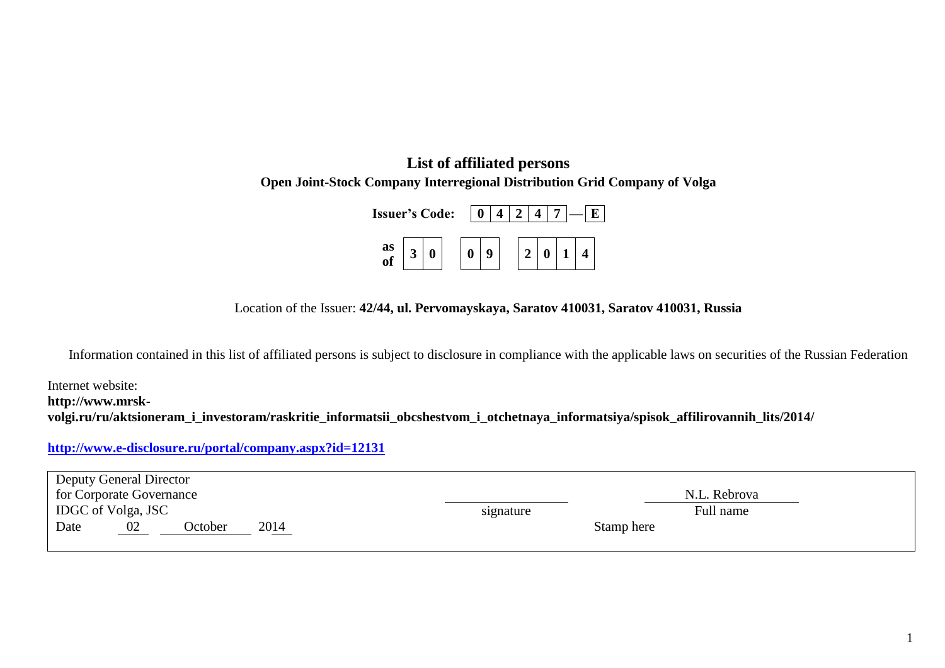## **List of affiliated persons Open Joint-Stock Company Interregional Distribution Grid Company of Volga**

| <b>Issuer's Code:</b> |  |  |  |  |  |               |  |  |  |
|-----------------------|--|--|--|--|--|---------------|--|--|--|
| as<br>of              |  |  |  |  |  | $\mathcal{D}$ |  |  |  |

Location of the Issuer: **42/44, ul. Pervomayskaya, Saratov 410031, Saratov 410031, Russia**

Information contained in this list of affiliated persons is subject to disclosure in compliance with the applicable laws on securities of the Russian Federation

Internet website: **http://www.mrskvolgi.ru/ru/aktsioneram\_i\_investoram/raskritie\_informatsii\_obcshestvom\_i\_otchetnaya\_informatsiya/spisok\_affilirovannih\_lits/2014/**

## **<http://www.e-disclosure.ru/portal/company.aspx?id=12131>**

|                          | <b>Deputy General Director</b> |         |      |           |              |  |  |  |
|--------------------------|--------------------------------|---------|------|-----------|--------------|--|--|--|
| for Corporate Governance |                                |         |      |           | N.L. Rebrova |  |  |  |
|                          | IDGC of Volga, JSC             |         |      | signature | Full name    |  |  |  |
| Date                     | 02                             | October | 2014 |           | Stamp here   |  |  |  |
|                          |                                |         |      |           |              |  |  |  |

1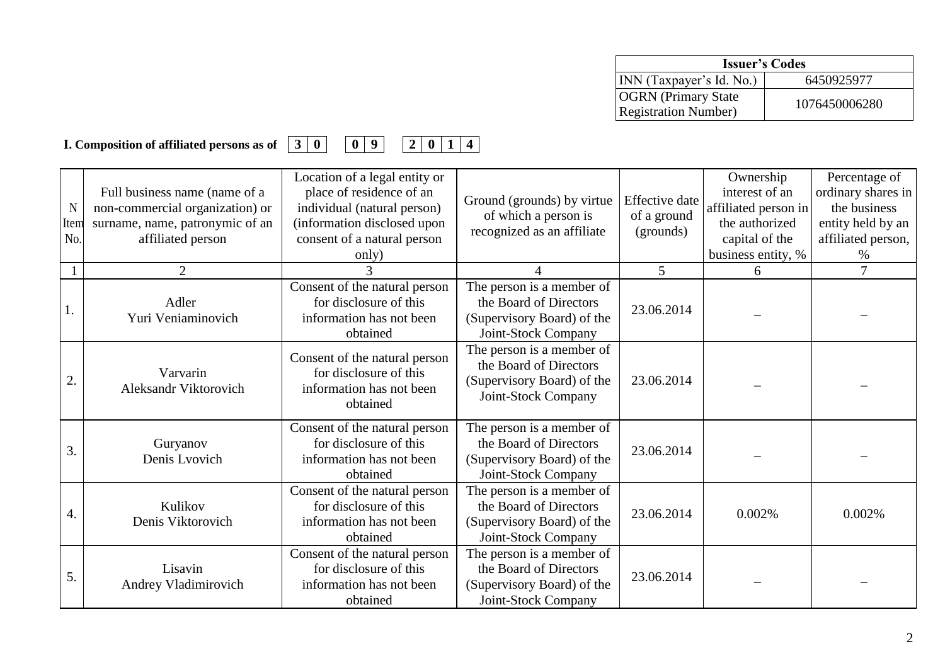| <b>Issuer's Codes</b>                                      |               |  |  |  |  |
|------------------------------------------------------------|---------------|--|--|--|--|
| INN (Taxpayer's Id. No.)                                   | 6450925977    |  |  |  |  |
| <b>OGRN</b> (Primary State)<br><b>Registration Number)</b> | 1076450006280 |  |  |  |  |

**I. Composition of affiliated persons as of 3 0 0 9 2 0 1 4**

| $\mathbf N$<br>Item<br>No. | Full business name (name of a<br>non-commercial organization) or<br>surname, name, patronymic of an<br>affiliated person | Location of a legal entity or<br>place of residence of an<br>individual (natural person)<br>(information disclosed upon<br>consent of a natural person<br>only) | Ground (grounds) by virtue<br>of which a person is<br>recognized as an affiliate                                      | Effective date<br>of a ground<br>(grounds) | Ownership<br>interest of an<br>affiliated person in<br>the authorized<br>capital of the<br>business entity, % | Percentage of<br>ordinary shares in<br>the business<br>entity held by an<br>affiliated person,<br>$\%$ |
|----------------------------|--------------------------------------------------------------------------------------------------------------------------|-----------------------------------------------------------------------------------------------------------------------------------------------------------------|-----------------------------------------------------------------------------------------------------------------------|--------------------------------------------|---------------------------------------------------------------------------------------------------------------|--------------------------------------------------------------------------------------------------------|
|                            | 2                                                                                                                        |                                                                                                                                                                 |                                                                                                                       | 5                                          | 6                                                                                                             | 7                                                                                                      |
|                            | Adler<br>Yuri Veniaminovich                                                                                              | Consent of the natural person<br>for disclosure of this<br>information has not been<br>obtained                                                                 | The person is a member of<br>the Board of Directors<br>(Supervisory Board) of the<br>Joint-Stock Company              | 23.06.2014                                 |                                                                                                               |                                                                                                        |
| 2.                         | Varvarin<br>Aleksandr Viktorovich                                                                                        | Consent of the natural person<br>for disclosure of this<br>information has not been<br>obtained                                                                 | The person is a member of<br>the Board of Directors<br>(Supervisory Board) of the<br>Joint-Stock Company              | 23.06.2014                                 |                                                                                                               |                                                                                                        |
| 3.                         | Guryanov<br>Denis Lvovich                                                                                                | Consent of the natural person<br>for disclosure of this<br>information has not been<br>obtained                                                                 | The person is $\overline{a}$ member of<br>the Board of Directors<br>(Supervisory Board) of the<br>Joint-Stock Company | 23.06.2014                                 |                                                                                                               |                                                                                                        |
| 4.                         | Kulikov<br>Denis Viktorovich                                                                                             | Consent of the natural person<br>for disclosure of this<br>information has not been<br>obtained                                                                 | The person is a member of<br>the Board of Directors<br>(Supervisory Board) of the<br>Joint-Stock Company              | 23.06.2014                                 | 0.002%                                                                                                        | 0.002%                                                                                                 |
| 5.                         | Lisavin<br>Andrey Vladimirovich                                                                                          | Consent of the natural person<br>for disclosure of this<br>information has not been<br>obtained                                                                 | The person is a member of<br>the Board of Directors<br>(Supervisory Board) of the<br>Joint-Stock Company              | 23.06.2014                                 |                                                                                                               |                                                                                                        |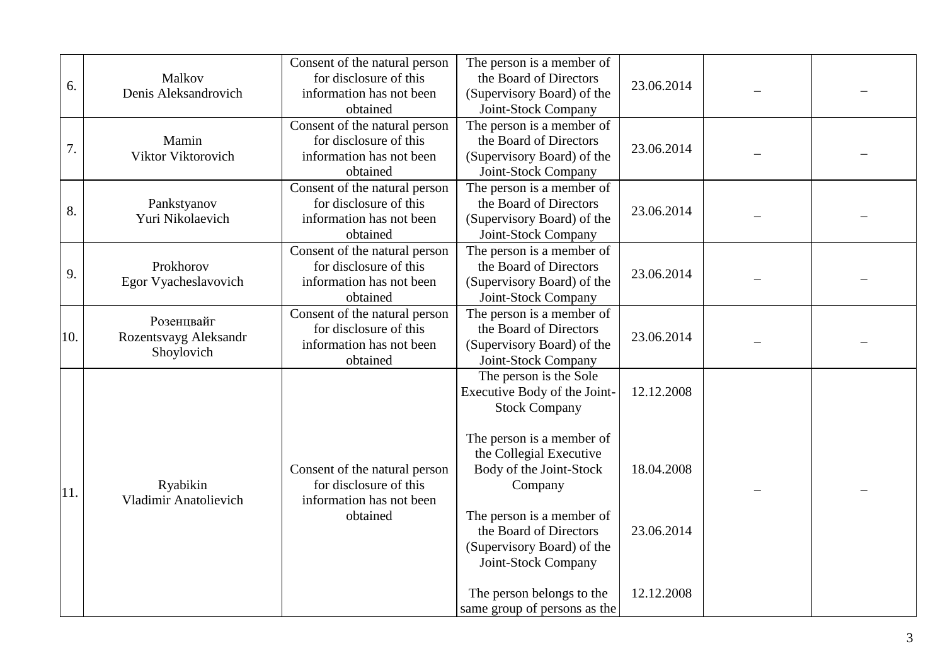| 6.  | Malkov<br>Denis Aleksandrovich                    | Consent of the natural person<br>for disclosure of this<br>information has not been<br>obtained | The person is a member of<br>the Board of Directors<br>(Supervisory Board) of the<br>Joint-Stock Company                | 23.06.2014 |  |
|-----|---------------------------------------------------|-------------------------------------------------------------------------------------------------|-------------------------------------------------------------------------------------------------------------------------|------------|--|
| 7.  | Mamin<br>Viktor Viktorovich                       | Consent of the natural person<br>for disclosure of this<br>information has not been<br>obtained | The person is a member of<br>the Board of Directors<br>(Supervisory Board) of the<br>Joint-Stock Company                | 23.06.2014 |  |
| 8.  | Pankstyanov<br>Yuri Nikolaevich                   | Consent of the natural person<br>for disclosure of this<br>information has not been<br>obtained | The person is a member of<br>the Board of Directors<br>(Supervisory Board) of the<br>Joint-Stock Company                | 23.06.2014 |  |
| 9.  | Prokhorov<br>Egor Vyacheslavovich                 | Consent of the natural person<br>for disclosure of this<br>information has not been<br>obtained | The person is a member of<br>the Board of Directors<br>(Supervisory Board) of the<br>Joint-Stock Company                | 23.06.2014 |  |
| 10. | Розенивайг<br>Rozentsvayg Aleksandr<br>Shoylovich | Consent of the natural person<br>for disclosure of this<br>information has not been<br>obtained | The person is a member of<br>the Board of Directors<br>(Supervisory Board) of the<br>Joint-Stock Company                | 23.06.2014 |  |
|     |                                                   |                                                                                                 | The person is the Sole<br>Executive Body of the Joint-<br><b>Stock Company</b>                                          | 12.12.2008 |  |
| 11. | Ryabikin<br><b>Vladimir Anatolievich</b>          | Consent of the natural person<br>for disclosure of this<br>information has not been             | The person is a member of<br>the Collegial Executive<br>Body of the Joint-Stock<br>Company<br>The person is a member of | 18.04.2008 |  |
|     |                                                   | obtained                                                                                        |                                                                                                                         | 23.06.2014 |  |
|     |                                                   |                                                                                                 | The person belongs to the<br>same group of persons as the                                                               | 12.12.2008 |  |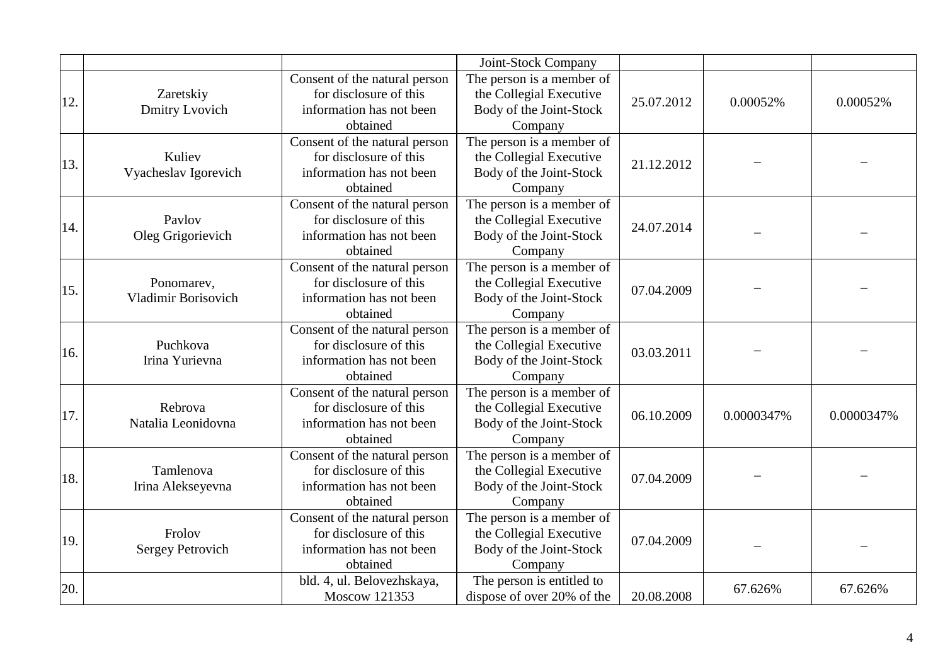|     |                                          |                                                                                                 | Joint-Stock Company                                                                        |            |            |            |
|-----|------------------------------------------|-------------------------------------------------------------------------------------------------|--------------------------------------------------------------------------------------------|------------|------------|------------|
| 12. | Zaretskiy<br>Dmitry Lvovich              | Consent of the natural person<br>for disclosure of this<br>information has not been<br>obtained | The person is a member of<br>the Collegial Executive<br>Body of the Joint-Stock<br>Company | 25.07.2012 | 0.00052%   | 0.00052%   |
| 13. | Kuliev<br>Vyacheslav Igorevich           | Consent of the natural person<br>for disclosure of this<br>information has not been<br>obtained | The person is a member of<br>the Collegial Executive<br>Body of the Joint-Stock<br>Company | 21.12.2012 |            |            |
| 14. | Pavlov<br>Oleg Grigorievich              | Consent of the natural person<br>for disclosure of this<br>information has not been<br>obtained | The person is a member of<br>the Collegial Executive<br>Body of the Joint-Stock<br>Company | 24.07.2014 |            |            |
| 15. | Ponomarev,<br><b>Vladimir Borisovich</b> | Consent of the natural person<br>for disclosure of this<br>information has not been<br>obtained | The person is a member of<br>the Collegial Executive<br>Body of the Joint-Stock<br>Company | 07.04.2009 |            |            |
| 16. | Puchkova<br>Irina Yurievna               | Consent of the natural person<br>for disclosure of this<br>information has not been<br>obtained | The person is a member of<br>the Collegial Executive<br>Body of the Joint-Stock<br>Company | 03.03.2011 |            |            |
| 17. | Rebrova<br>Natalia Leonidovna            | Consent of the natural person<br>for disclosure of this<br>information has not been<br>obtained | The person is a member of<br>the Collegial Executive<br>Body of the Joint-Stock<br>Company | 06.10.2009 | 0.0000347% | 0.0000347% |
| 18. | Tamlenova<br>Irina Alekseyevna           | Consent of the natural person<br>for disclosure of this<br>information has not been<br>obtained | The person is a member of<br>the Collegial Executive<br>Body of the Joint-Stock<br>Company | 07.04.2009 |            |            |
| 19. | Frolov<br><b>Sergey Petrovich</b>        | Consent of the natural person<br>for disclosure of this<br>information has not been<br>obtained | The person is a member of<br>the Collegial Executive<br>Body of the Joint-Stock<br>Company | 07.04.2009 |            |            |
| 20. |                                          | bld. 4, ul. Belovezhskaya,<br>Moscow 121353                                                     | The person is entitled to<br>dispose of over 20% of the                                    | 20.08.2008 | 67.626%    | 67.626%    |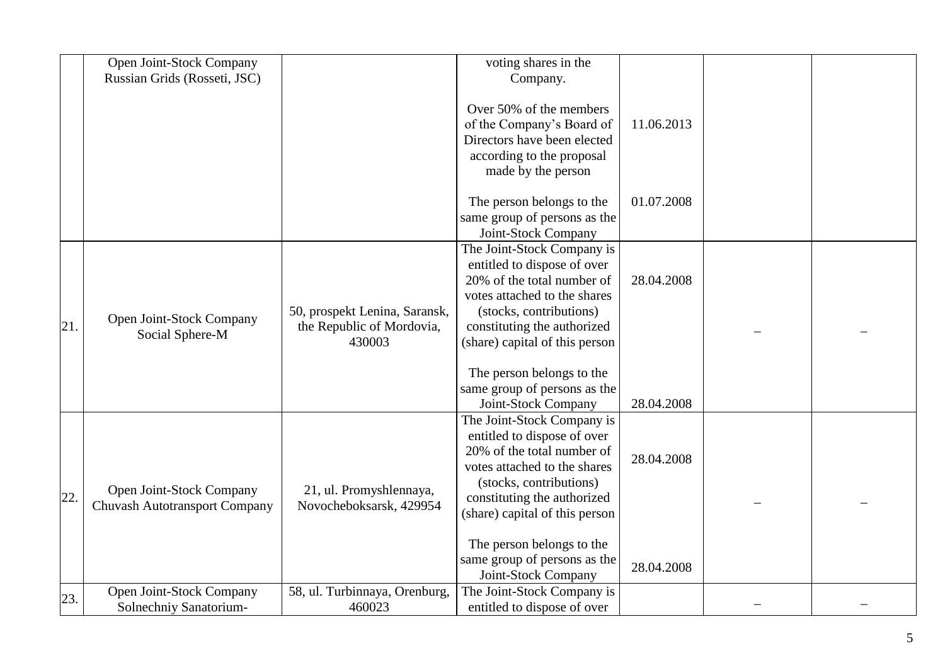|     | Open Joint-Stock Company<br>Russian Grids (Rosseti, JSC)         |                                                                      | voting shares in the<br>Company.                                                                                                                                                                                    |            |  |
|-----|------------------------------------------------------------------|----------------------------------------------------------------------|---------------------------------------------------------------------------------------------------------------------------------------------------------------------------------------------------------------------|------------|--|
|     |                                                                  |                                                                      | Over 50% of the members<br>of the Company's Board of<br>Directors have been elected<br>according to the proposal<br>made by the person                                                                              | 11.06.2013 |  |
|     |                                                                  |                                                                      | The person belongs to the<br>same group of persons as the<br>Joint-Stock Company                                                                                                                                    | 01.07.2008 |  |
| 21. | Open Joint-Stock Company<br>Social Sphere-M                      | 50, prospekt Lenina, Saransk,<br>the Republic of Mordovia,<br>430003 | The Joint-Stock Company is<br>entitled to dispose of over<br>20% of the total number of<br>votes attached to the shares<br>(stocks, contributions)<br>constituting the authorized<br>(share) capital of this person | 28.04.2008 |  |
|     |                                                                  |                                                                      | The person belongs to the<br>same group of persons as the<br>Joint-Stock Company                                                                                                                                    | 28.04.2008 |  |
| 22. | Open Joint-Stock Company<br><b>Chuvash Autotransport Company</b> | 21, ul. Promyshlennaya,<br>Novocheboksarsk, 429954                   | The Joint-Stock Company is<br>entitled to dispose of over<br>20% of the total number of<br>votes attached to the shares<br>(stocks, contributions)<br>constituting the authorized<br>(share) capital of this person | 28.04.2008 |  |
|     |                                                                  |                                                                      | The person belongs to the<br>same group of persons as the<br>Joint-Stock Company                                                                                                                                    | 28.04.2008 |  |
| 23. | Open Joint-Stock Company<br>Solnechniy Sanatorium-               | 58, ul. Turbinnaya, Orenburg,<br>460023                              | The Joint-Stock Company is<br>entitled to dispose of over                                                                                                                                                           |            |  |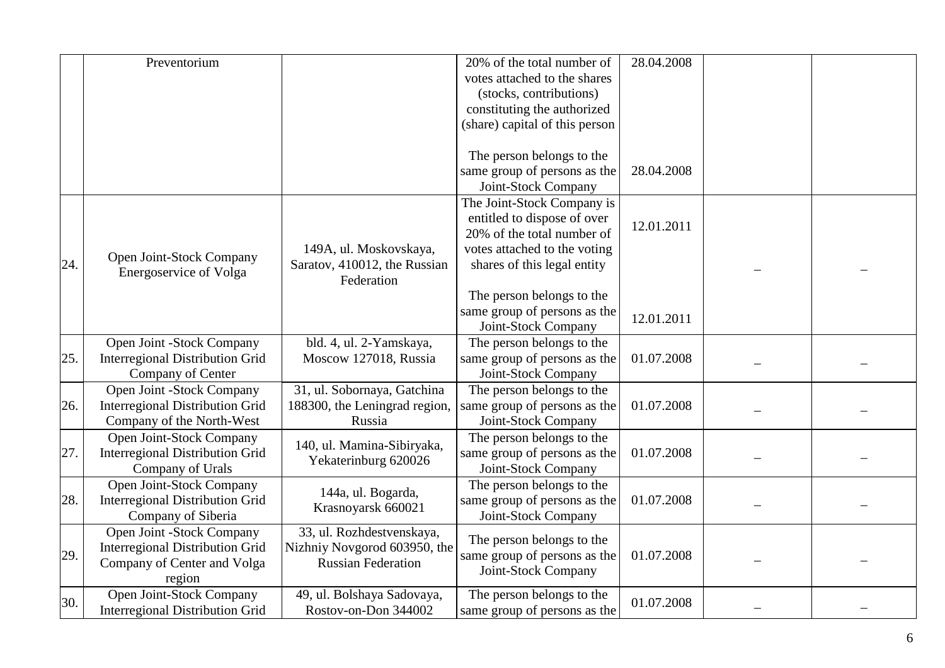|     | Preventorium                           |                               | 20% of the total number of     | 28.04.2008 |  |  |
|-----|----------------------------------------|-------------------------------|--------------------------------|------------|--|--|
|     |                                        |                               | votes attached to the shares   |            |  |  |
|     |                                        |                               | (stocks, contributions)        |            |  |  |
|     |                                        |                               | constituting the authorized    |            |  |  |
|     |                                        |                               | (share) capital of this person |            |  |  |
|     |                                        |                               |                                |            |  |  |
|     |                                        |                               | The person belongs to the      |            |  |  |
|     |                                        |                               | same group of persons as the   | 28.04.2008 |  |  |
|     |                                        |                               | Joint-Stock Company            |            |  |  |
|     |                                        |                               | The Joint-Stock Company is     |            |  |  |
|     |                                        |                               | entitled to dispose of over    | 12.01.2011 |  |  |
|     |                                        |                               | 20% of the total number of     |            |  |  |
|     | Open Joint-Stock Company               | 149A, ul. Moskovskaya,        | votes attached to the voting   |            |  |  |
| 24. |                                        | Saratov, 410012, the Russian  | shares of this legal entity    |            |  |  |
|     | <b>Energoservice of Volga</b>          | Federation                    |                                |            |  |  |
|     |                                        |                               | The person belongs to the      |            |  |  |
|     |                                        |                               | same group of persons as the   |            |  |  |
|     |                                        |                               | Joint-Stock Company            | 12.01.2011 |  |  |
|     | Open Joint -Stock Company              | bld. 4, ul. 2-Yamskaya,       | The person belongs to the      |            |  |  |
| 25. | <b>Interregional Distribution Grid</b> | Moscow 127018, Russia         | same group of persons as the   | 01.07.2008 |  |  |
|     | Company of Center                      |                               | Joint-Stock Company            |            |  |  |
|     | Open Joint -Stock Company              | 31, ul. Sobornaya, Gatchina   | The person belongs to the      |            |  |  |
| 26. | <b>Interregional Distribution Grid</b> | 188300, the Leningrad region, | same group of persons as the   | 01.07.2008 |  |  |
|     | Company of the North-West              | Russia                        | Joint-Stock Company            |            |  |  |
|     | Open Joint-Stock Company               |                               | The person belongs to the      |            |  |  |
| 27. | <b>Interregional Distribution Grid</b> | 140, ul. Mamina-Sibiryaka,    | same group of persons as the   | 01.07.2008 |  |  |
|     | Company of Urals                       | Yekaterinburg 620026          | Joint-Stock Company            |            |  |  |
|     | Open Joint-Stock Company               |                               | The person belongs to the      |            |  |  |
| 28. | <b>Interregional Distribution Grid</b> | 144a, ul. Bogarda,            | same group of persons as the   | 01.07.2008 |  |  |
|     | Company of Siberia                     | Krasnoyarsk 660021            | Joint-Stock Company            |            |  |  |
|     | Open Joint -Stock Company              | 33, ul. Rozhdestvenskaya,     |                                |            |  |  |
|     | <b>Interregional Distribution Grid</b> | Nizhniy Novgorod 603950, the  | The person belongs to the      |            |  |  |
| 29. | Company of Center and Volga            | <b>Russian Federation</b>     | same group of persons as the   | 01.07.2008 |  |  |
|     | region                                 |                               | Joint-Stock Company            |            |  |  |
|     | Open Joint-Stock Company               | 49, ul. Bolshaya Sadovaya,    | The person belongs to the      |            |  |  |
| 30. | <b>Interregional Distribution Grid</b> | Rostov-on-Don 344002          | same group of persons as the   | 01.07.2008 |  |  |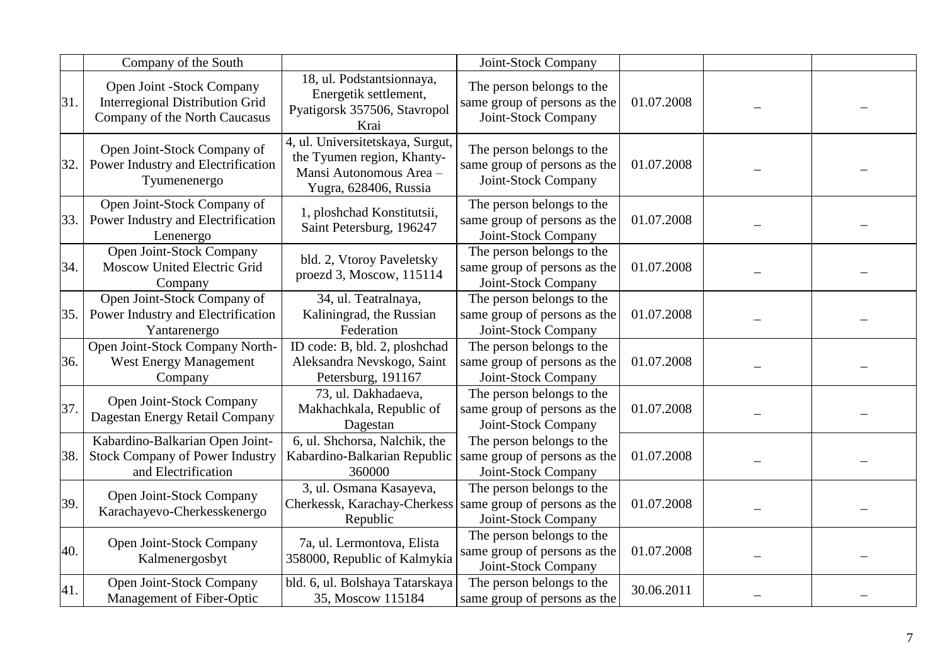|     | Company of the South                                                                                 |                                                                                                                    | Joint-Stock Company                                                              |            |  |
|-----|------------------------------------------------------------------------------------------------------|--------------------------------------------------------------------------------------------------------------------|----------------------------------------------------------------------------------|------------|--|
| 31. | Open Joint -Stock Company<br><b>Interregional Distribution Grid</b><br>Company of the North Caucasus | 18, ul. Podstantsionnaya,<br>Energetik settlement,<br>Pyatigorsk 357506, Stavropol<br>Krai                         | The person belongs to the<br>same group of persons as the<br>Joint-Stock Company | 01.07.2008 |  |
| 32. | Open Joint-Stock Company of<br>Power Industry and Electrification<br>Tyumenenergo                    | 4, ul. Universitetskaya, Surgut,<br>the Tyumen region, Khanty-<br>Mansi Autonomous Area -<br>Yugra, 628406, Russia | The person belongs to the<br>same group of persons as the<br>Joint-Stock Company | 01.07.2008 |  |
| 33. | Open Joint-Stock Company of<br>Power Industry and Electrification<br>Lenenergo                       | 1, ploshchad Konstitutsii,<br>Saint Petersburg, 196247                                                             | The person belongs to the<br>same group of persons as the<br>Joint-Stock Company | 01.07.2008 |  |
| 34. | Open Joint-Stock Company<br>Moscow United Electric Grid<br>Company                                   | bld. 2, Vtoroy Paveletsky<br>proezd 3, Moscow, 115114                                                              | The person belongs to the<br>same group of persons as the<br>Joint-Stock Company | 01.07.2008 |  |
| 35. | Open Joint-Stock Company of<br>Power Industry and Electrification<br>Yantarenergo                    | 34, ul. Teatralnaya,<br>Kaliningrad, the Russian<br>Federation                                                     | The person belongs to the<br>same group of persons as the<br>Joint-Stock Company | 01.07.2008 |  |
| 36. | Open Joint-Stock Company North-<br><b>West Energy Management</b><br>Company                          | ID code: B, bld. 2, ploshchad<br>Aleksandra Nevskogo, Saint<br>Petersburg, 191167                                  | The person belongs to the<br>same group of persons as the<br>Joint-Stock Company | 01.07.2008 |  |
| 37. | Open Joint-Stock Company<br>Dagestan Energy Retail Company                                           | 73, ul. Dakhadaeva,<br>Makhachkala, Republic of<br>Dagestan                                                        | The person belongs to the<br>same group of persons as the<br>Joint-Stock Company | 01.07.2008 |  |
| 38. | Kabardino-Balkarian Open Joint-<br><b>Stock Company of Power Industry</b><br>and Electrification     | 6, ul. Shchorsa, Nalchik, the<br>Kabardino-Balkarian Republic<br>360000                                            | The person belongs to the<br>same group of persons as the<br>Joint-Stock Company | 01.07.2008 |  |
| 39. | Open Joint-Stock Company<br>Karachayevo-Cherkesskenergo                                              | 3, ul. Osmana Kasayeva,<br>Cherkessk, Karachay-Cherkess<br>Republic                                                | The person belongs to the<br>same group of persons as the<br>Joint-Stock Company | 01.07.2008 |  |
| 40. | Open Joint-Stock Company<br>Kalmenergosbyt                                                           | 7a, ul. Lermontova, Elista<br>358000, Republic of Kalmykia                                                         | The person belongs to the<br>same group of persons as the<br>Joint-Stock Company | 01.07.2008 |  |
| 41. | Open Joint-Stock Company<br>Management of Fiber-Optic                                                | bld. 6, ul. Bolshaya Tatarskaya<br>35, Moscow 115184                                                               | The person belongs to the<br>same group of persons as the                        | 30.06.2011 |  |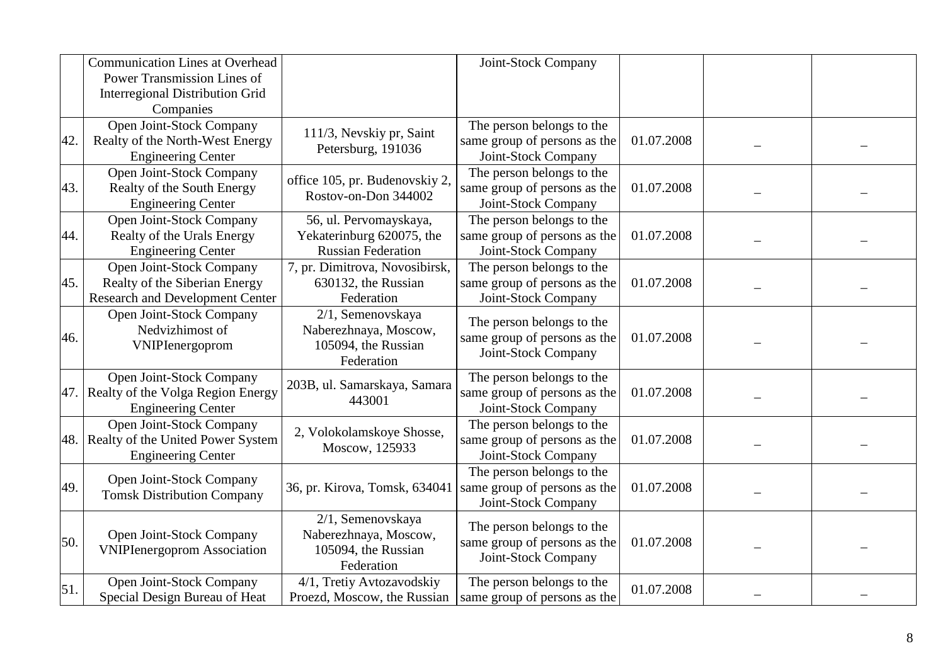|     | <b>Communication Lines at Overhead</b> |                                | Joint-Stock Company          |            |  |
|-----|----------------------------------------|--------------------------------|------------------------------|------------|--|
|     | <b>Power Transmission Lines of</b>     |                                |                              |            |  |
|     | <b>Interregional Distribution Grid</b> |                                |                              |            |  |
|     | Companies                              |                                |                              |            |  |
|     | Open Joint-Stock Company               | 111/3, Nevskiy pr, Saint       | The person belongs to the    |            |  |
| 42. | Realty of the North-West Energy        | Petersburg, 191036             | same group of persons as the | 01.07.2008 |  |
|     | <b>Engineering Center</b>              |                                | Joint-Stock Company          |            |  |
|     | Open Joint-Stock Company               | office 105, pr. Budenovskiy 2, | The person belongs to the    |            |  |
| 43. | Realty of the South Energy             | Rostov-on-Don 344002           | same group of persons as the | 01.07.2008 |  |
|     | <b>Engineering Center</b>              |                                | Joint-Stock Company          |            |  |
|     | Open Joint-Stock Company               | 56, ul. Pervomayskaya,         | The person belongs to the    |            |  |
| 44. | Realty of the Urals Energy             | Yekaterinburg 620075, the      | same group of persons as the | 01.07.2008 |  |
|     | <b>Engineering Center</b>              | <b>Russian Federation</b>      | Joint-Stock Company          |            |  |
|     | Open Joint-Stock Company               | 7, pr. Dimitrova, Novosibirsk, | The person belongs to the    |            |  |
| 45. | Realty of the Siberian Energy          | 630132, the Russian            | same group of persons as the | 01.07.2008 |  |
|     | <b>Research and Development Center</b> | Federation                     | Joint-Stock Company          |            |  |
|     | Open Joint-Stock Company               | 2/1, Semenovskaya              | The person belongs to the    |            |  |
| 46. | Nedvizhimost of                        | Naberezhnaya, Moscow,          | same group of persons as the | 01.07.2008 |  |
|     | VNIPIenergoprom                        | 105094, the Russian            | Joint-Stock Company          |            |  |
|     |                                        | Federation                     |                              |            |  |
|     | Open Joint-Stock Company               | 203B, ul. Samarskaya, Samara   | The person belongs to the    |            |  |
| 47. | Realty of the Volga Region Energy      | 443001                         | same group of persons as the | 01.07.2008 |  |
|     | <b>Engineering Center</b>              |                                | Joint-Stock Company          |            |  |
|     | Open Joint-Stock Company               | 2, Volokolamskoye Shosse,      | The person belongs to the    |            |  |
| 48. | Realty of the United Power System      | Moscow, 125933                 | same group of persons as the | 01.07.2008 |  |
|     | <b>Engineering Center</b>              |                                | Joint-Stock Company          |            |  |
|     | Open Joint-Stock Company               |                                | The person belongs to the    |            |  |
| 49. | <b>Tomsk Distribution Company</b>      | 36, pr. Kirova, Tomsk, 634041  | same group of persons as the | 01.07.2008 |  |
|     |                                        |                                | Joint-Stock Company          |            |  |
|     |                                        | 2/1, Semenovskaya              | The person belongs to the    |            |  |
| 50. | Open Joint-Stock Company               | Naberezhnaya, Moscow,          | same group of persons as the | 01.07.2008 |  |
|     | <b>VNIPIenergoprom Association</b>     | 105094, the Russian            | Joint-Stock Company          |            |  |
|     |                                        | Federation                     |                              |            |  |
| 51. | Open Joint-Stock Company               | 4/1, Tretiy Avtozavodskiy      | The person belongs to the    | 01.07.2008 |  |
|     | Special Design Bureau of Heat          | Proezd, Moscow, the Russian    | same group of persons as the |            |  |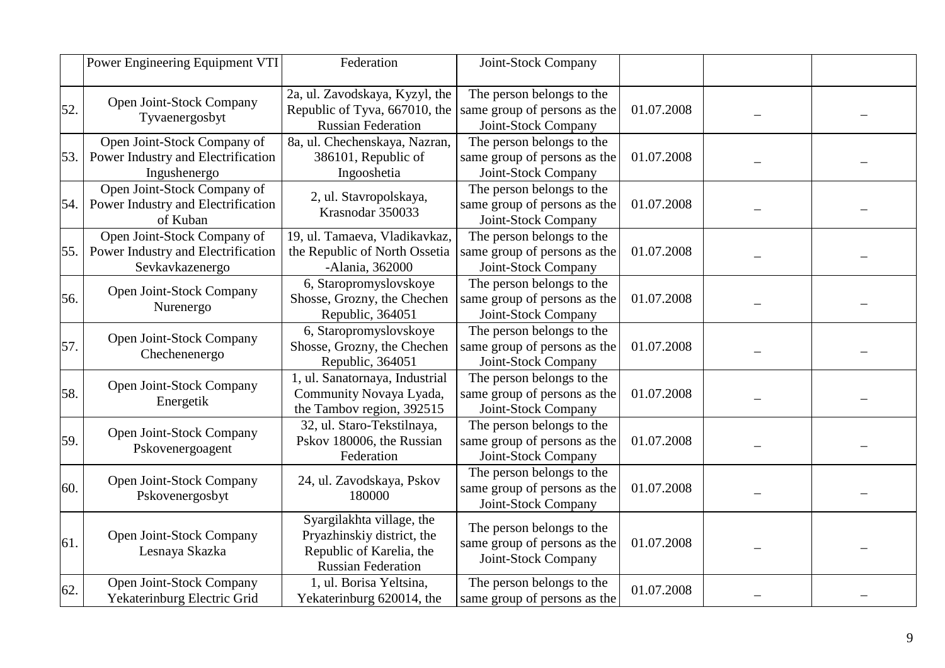|     | Power Engineering Equipment VTI                                                      | Federation                                                                                                       | Joint-Stock Company                                                              |            |  |
|-----|--------------------------------------------------------------------------------------|------------------------------------------------------------------------------------------------------------------|----------------------------------------------------------------------------------|------------|--|
| 52. | Open Joint-Stock Company<br>Tyvaenergosbyt                                           | 2a, ul. Zavodskaya, Kyzyl, the<br>Republic of Tyva, 667010, the<br><b>Russian Federation</b>                     | The person belongs to the<br>same group of persons as the<br>Joint-Stock Company | 01.07.2008 |  |
| 53. | Open Joint-Stock Company of<br>Power Industry and Electrification<br>Ingushenergo    | 8a, ul. Chechenskaya, Nazran,<br>386101, Republic of<br>Ingooshetia                                              | The person belongs to the<br>same group of persons as the<br>Joint-Stock Company | 01.07.2008 |  |
| 54. | Open Joint-Stock Company of<br>Power Industry and Electrification<br>of Kuban        | 2, ul. Stavropolskaya,<br>Krasnodar 350033                                                                       | The person belongs to the<br>same group of persons as the<br>Joint-Stock Company | 01.07.2008 |  |
| 55. | Open Joint-Stock Company of<br>Power Industry and Electrification<br>Sevkavkazenergo | 19, ul. Tamaeva, Vladikavkaz,<br>the Republic of North Ossetia<br>-Alania, 362000                                | The person belongs to the<br>same group of persons as the<br>Joint-Stock Company | 01.07.2008 |  |
| 56. | Open Joint-Stock Company<br>Nurenergo                                                | 6, Staropromyslovskoye<br>Shosse, Grozny, the Chechen<br>Republic, 364051                                        | The person belongs to the<br>same group of persons as the<br>Joint-Stock Company | 01.07.2008 |  |
| 57. | Open Joint-Stock Company<br>Chechenenergo                                            | 6, Staropromyslovskoye<br>Shosse, Grozny, the Chechen<br>Republic, 364051                                        | The person belongs to the<br>same group of persons as the<br>Joint-Stock Company | 01.07.2008 |  |
| 58. | Open Joint-Stock Company<br>Energetik                                                | 1, ul. Sanatornaya, Industrial<br>Community Novaya Lyada,<br>the Tambov region, 392515                           | The person belongs to the<br>same group of persons as the<br>Joint-Stock Company | 01.07.2008 |  |
| 59. | Open Joint-Stock Company<br>Pskovenergoagent                                         | 32, ul. Staro-Tekstilnaya,<br>Pskov 180006, the Russian<br>Federation                                            | The person belongs to the<br>same group of persons as the<br>Joint-Stock Company | 01.07.2008 |  |
| 60. | Open Joint-Stock Company<br>Pskovenergosbyt                                          | 24, ul. Zavodskaya, Pskov<br>180000                                                                              | The person belongs to the<br>same group of persons as the<br>Joint-Stock Company | 01.07.2008 |  |
| 61. | Open Joint-Stock Company<br>Lesnaya Skazka                                           | Syargilakhta village, the<br>Pryazhinskiy district, the<br>Republic of Karelia, the<br><b>Russian Federation</b> | The person belongs to the<br>same group of persons as the<br>Joint-Stock Company | 01.07.2008 |  |
| 62. | Open Joint-Stock Company<br>Yekaterinburg Electric Grid                              | 1, ul. Borisa Yeltsina,<br>Yekaterinburg 620014, the                                                             | The person belongs to the<br>same group of persons as the                        | 01.07.2008 |  |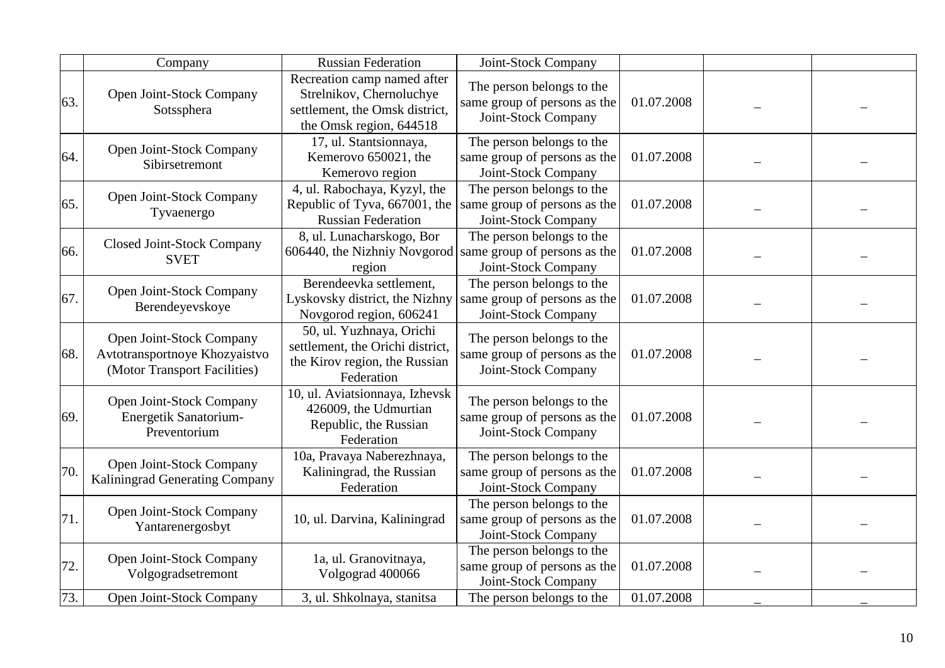|     | Company                                                                                   | <b>Russian Federation</b>                                                                                            | Joint-Stock Company                                                              |            |  |
|-----|-------------------------------------------------------------------------------------------|----------------------------------------------------------------------------------------------------------------------|----------------------------------------------------------------------------------|------------|--|
| 63. | Open Joint-Stock Company<br>Sotssphera                                                    | Recreation camp named after<br>Strelnikov, Chernoluchye<br>settlement, the Omsk district,<br>the Omsk region, 644518 | The person belongs to the<br>same group of persons as the<br>Joint-Stock Company | 01.07.2008 |  |
| 64. | Open Joint-Stock Company<br>Sibirsetremont                                                | 17, ul. Stantsionnaya,<br>Kemerovo 650021, the<br>Kemerovo region                                                    | The person belongs to the<br>same group of persons as the<br>Joint-Stock Company | 01.07.2008 |  |
| 65. | Open Joint-Stock Company<br>Tyvaenergo                                                    | 4, ul. Rabochaya, Kyzyl, the<br>Republic of Tyva, 667001, the<br><b>Russian Federation</b>                           | The person belongs to the<br>same group of persons as the<br>Joint-Stock Company | 01.07.2008 |  |
| 66. | <b>Closed Joint-Stock Company</b><br><b>SVET</b>                                          | 8, ul. Lunacharskogo, Bor<br>$606440$ , the Nizhniy Novgorod same group of persons as the<br>region                  | The person belongs to the<br>Joint-Stock Company                                 | 01.07.2008 |  |
| 67. | Open Joint-Stock Company<br>Berendeyevskoye                                               | Berendeevka settlement,<br>Lyskovsky district, the Nizhny<br>Novgorod region, 606241                                 | The person belongs to the<br>same group of persons as the<br>Joint-Stock Company | 01.07.2008 |  |
| 68. | Open Joint-Stock Company<br>Avtotransportnoye Khozyaistvo<br>(Motor Transport Facilities) | 50, ul. Yuzhnaya, Orichi<br>settlement, the Orichi district,<br>the Kirov region, the Russian<br>Federation          | The person belongs to the<br>same group of persons as the<br>Joint-Stock Company | 01.07.2008 |  |
| 69. | Open Joint-Stock Company<br>Energetik Sanatorium-<br>Preventorium                         | 10, ul. Aviatsionnaya, Izhevsk<br>426009, the Udmurtian<br>Republic, the Russian<br>Federation                       | The person belongs to the<br>same group of persons as the<br>Joint-Stock Company | 01.07.2008 |  |
| 70. | Open Joint-Stock Company<br>Kaliningrad Generating Company                                | 10a, Pravaya Naberezhnaya,<br>Kaliningrad, the Russian<br>Federation                                                 | The person belongs to the<br>same group of persons as the<br>Joint-Stock Company | 01.07.2008 |  |
| 71. | Open Joint-Stock Company<br>Yantarenergosbyt                                              | 10, ul. Darvina, Kaliningrad                                                                                         | The person belongs to the<br>same group of persons as the<br>Joint-Stock Company | 01.07.2008 |  |
| 72. | Open Joint-Stock Company<br>Volgogradsetremont                                            | 1a, ul. Granovitnaya,<br>Volgograd 400066                                                                            | The person belongs to the<br>same group of persons as the<br>Joint-Stock Company | 01.07.2008 |  |
| 73. | Open Joint-Stock Company                                                                  | 3, ul. Shkolnaya, stanitsa                                                                                           | The person belongs to the                                                        | 01.07.2008 |  |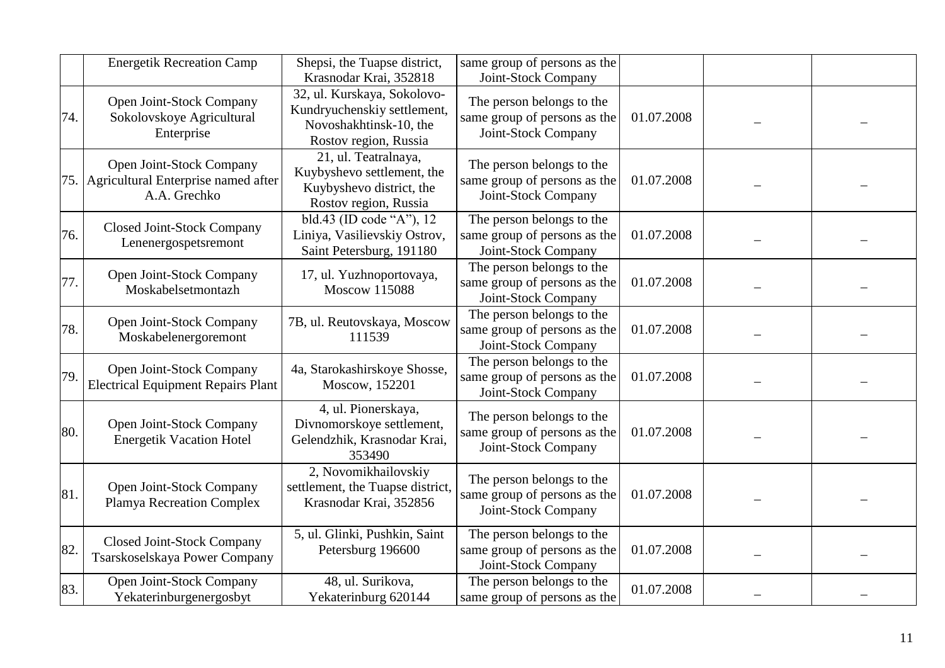|     | <b>Energetik Recreation Camp</b>                                                | Shepsi, the Tuapse district,<br>Krasnodar Krai, 352818                                                        | same group of persons as the<br>Joint-Stock Company                              |            |  |
|-----|---------------------------------------------------------------------------------|---------------------------------------------------------------------------------------------------------------|----------------------------------------------------------------------------------|------------|--|
| 74. | Open Joint-Stock Company<br>Sokolovskoye Agricultural<br>Enterprise             | 32, ul. Kurskaya, Sokolovo-<br>Kundryuchenskiy settlement,<br>Novoshakhtinsk-10, the<br>Rostov region, Russia | The person belongs to the<br>same group of persons as the<br>Joint-Stock Company | 01.07.2008 |  |
| 75. | Open Joint-Stock Company<br>Agricultural Enterprise named after<br>A.A. Grechko | 21, ul. Teatralnaya,<br>Kuybyshevo settlement, the<br>Kuybyshevo district, the<br>Rostov region, Russia       | The person belongs to the<br>same group of persons as the<br>Joint-Stock Company | 01.07.2008 |  |
| 76. | <b>Closed Joint-Stock Company</b><br>Lenenergospetsremont                       | $\overline{bld.}43$ (ID code "A"), 12<br>Liniya, Vasilievskiy Ostrov,<br>Saint Petersburg, 191180             | The person belongs to the<br>same group of persons as the<br>Joint-Stock Company | 01.07.2008 |  |
| 77. | Open Joint-Stock Company<br>Moskabelsetmontazh                                  | 17, ul. Yuzhnoportovaya,<br><b>Moscow 115088</b>                                                              | The person belongs to the<br>same group of persons as the<br>Joint-Stock Company | 01.07.2008 |  |
| 78. | Open Joint-Stock Company<br>Moskabelenergoremont                                | 7B, ul. Reutovskaya, Moscow<br>111539                                                                         | The person belongs to the<br>same group of persons as the<br>Joint-Stock Company | 01.07.2008 |  |
| 79. | Open Joint-Stock Company<br><b>Electrical Equipment Repairs Plant</b>           | 4a, Starokashirskoye Shosse,<br>Moscow, 152201                                                                | The person belongs to the<br>same group of persons as the<br>Joint-Stock Company | 01.07.2008 |  |
| 80. | Open Joint-Stock Company<br><b>Energetik Vacation Hotel</b>                     | 4, ul. Pionerskaya,<br>Divnomorskoye settlement,<br>Gelendzhik, Krasnodar Krai,<br>353490                     | The person belongs to the<br>same group of persons as the<br>Joint-Stock Company | 01.07.2008 |  |
| 81. | Open Joint-Stock Company<br>Plamya Recreation Complex                           | 2, Novomikhailovskiy<br>settlement, the Tuapse district,<br>Krasnodar Krai, 352856                            | The person belongs to the<br>same group of persons as the<br>Joint-Stock Company | 01.07.2008 |  |
| 82. | <b>Closed Joint-Stock Company</b><br>Tsarskoselskaya Power Company              | 5, ul. Glinki, Pushkin, Saint<br>Petersburg 196600                                                            | The person belongs to the<br>same group of persons as the<br>Joint-Stock Company | 01.07.2008 |  |
| 83. | Open Joint-Stock Company<br>Yekaterinburgenergosbyt                             | 48, ul. Surikova,<br>Yekaterinburg 620144                                                                     | The person belongs to the<br>same group of persons as the                        | 01.07.2008 |  |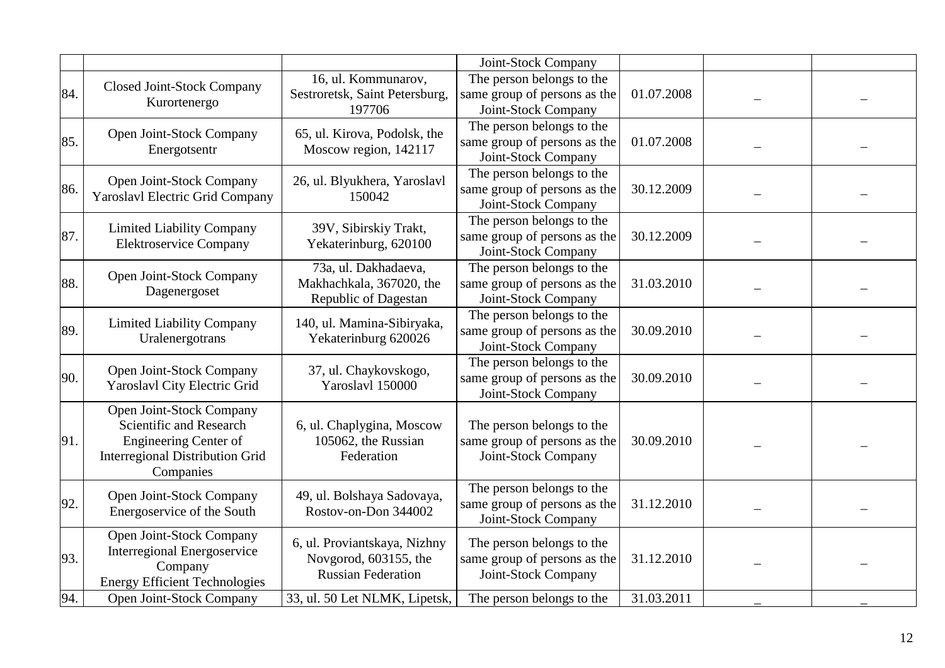|     |                                                                                                                                            |                                                                                    | Joint-Stock Company                                                              |            |  |
|-----|--------------------------------------------------------------------------------------------------------------------------------------------|------------------------------------------------------------------------------------|----------------------------------------------------------------------------------|------------|--|
| 84. | <b>Closed Joint-Stock Company</b><br>Kurortenergo                                                                                          | 16, ul. Kommunarov,<br>Sestroretsk, Saint Petersburg,<br>197706                    | The person belongs to the<br>same group of persons as the<br>Joint-Stock Company | 01.07.2008 |  |
| 85. | Open Joint-Stock Company<br>Energotsentr                                                                                                   | 65, ul. Kirova, Podolsk, the<br>Moscow region, 142117                              | The person belongs to the<br>same group of persons as the<br>Joint-Stock Company | 01.07.2008 |  |
| 86. | Open Joint-Stock Company<br>Yaroslavl Electric Grid Company                                                                                | 26, ul. Blyukhera, Yaroslavl<br>150042                                             | The person belongs to the<br>same group of persons as the<br>Joint-Stock Company | 30.12.2009 |  |
| 87. | <b>Limited Liability Company</b><br><b>Elektroservice Company</b>                                                                          | 39V, Sibirskiy Trakt,<br>Yekaterinburg, 620100                                     | The person belongs to the<br>same group of persons as the<br>Joint-Stock Company | 30.12.2009 |  |
| 88. | Open Joint-Stock Company<br>Dagenergoset                                                                                                   | 73a, ul. Dakhadaeva,<br>Makhachkala, 367020, the<br>Republic of Dagestan           | The person belongs to the<br>same group of persons as the<br>Joint-Stock Company | 31.03.2010 |  |
| 89. | <b>Limited Liability Company</b><br>Uralenergotrans                                                                                        | 140, ul. Mamina-Sibiryaka,<br>Yekaterinburg 620026                                 | The person belongs to the<br>same group of persons as the<br>Joint-Stock Company | 30.09.2010 |  |
| 90. | Open Joint-Stock Company<br>Yaroslavl City Electric Grid                                                                                   | 37, ul. Chaykovskogo,<br>Yaroslavl 150000                                          | The person belongs to the<br>same group of persons as the<br>Joint-Stock Company | 30.09.2010 |  |
| 91. | Open Joint-Stock Company<br>Scientific and Research<br><b>Engineering Center of</b><br><b>Interregional Distribution Grid</b><br>Companies | 6, ul. Chaplygina, Moscow<br>105062, the Russian<br>Federation                     | The person belongs to the<br>same group of persons as the<br>Joint-Stock Company | 30.09.2010 |  |
| 92. | Open Joint-Stock Company<br>Energoservice of the South                                                                                     | 49, ul. Bolshaya Sadovaya,<br>Rostov-on-Don 344002                                 | The person belongs to the<br>same group of persons as the<br>Joint-Stock Company | 31.12.2010 |  |
| 93. | Open Joint-Stock Company<br><b>Interregional Energoservice</b><br>Company<br><b>Energy Efficient Technologies</b>                          | 6, ul. Proviantskaya, Nizhny<br>Novgorod, 603155, the<br><b>Russian Federation</b> | The person belongs to the<br>same group of persons as the<br>Joint-Stock Company | 31.12.2010 |  |
| 94. | Open Joint-Stock Company                                                                                                                   | 33, ul. 50 Let NLMK, Lipetsk,                                                      | The person belongs to the                                                        | 31.03.2011 |  |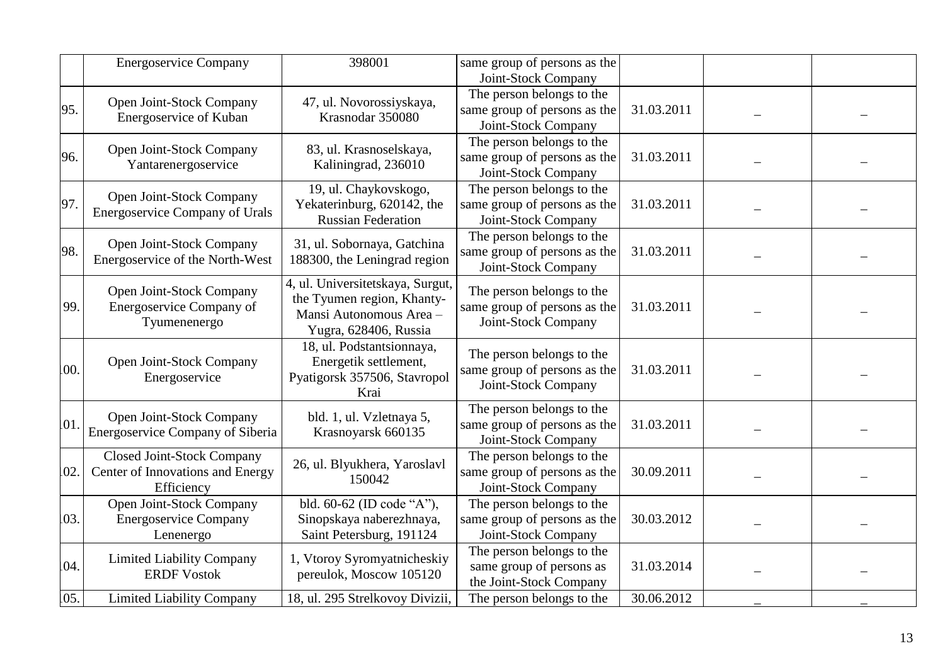|     | <b>Energoservice Company</b>                                                        | 398001                                                                                                             | same group of persons as the<br>Joint-Stock Company                              |            |  |
|-----|-------------------------------------------------------------------------------------|--------------------------------------------------------------------------------------------------------------------|----------------------------------------------------------------------------------|------------|--|
| 95. | Open Joint-Stock Company<br>Energoservice of Kuban                                  | 47, ul. Novorossiyskaya,<br>Krasnodar 350080                                                                       | The person belongs to the<br>same group of persons as the<br>Joint-Stock Company | 31.03.2011 |  |
| 96. | Open Joint-Stock Company<br>Yantarenergoservice                                     | 83, ul. Krasnoselskaya,<br>Kaliningrad, 236010                                                                     | The person belongs to the<br>same group of persons as the<br>Joint-Stock Company | 31.03.2011 |  |
| 97. | Open Joint-Stock Company<br><b>Energoservice Company of Urals</b>                   | 19, ul. Chaykovskogo,<br>Yekaterinburg, 620142, the<br><b>Russian Federation</b>                                   | The person belongs to the<br>same group of persons as the<br>Joint-Stock Company | 31.03.2011 |  |
| 98. | Open Joint-Stock Company<br>Energoservice of the North-West                         | 31, ul. Sobornaya, Gatchina<br>188300, the Leningrad region                                                        | The person belongs to the<br>same group of persons as the<br>Joint-Stock Company | 31.03.2011 |  |
| 99. | Open Joint-Stock Company<br>Energoservice Company of<br>Tyumenenergo                | 4, ul. Universitetskaya, Surgut,<br>the Tyumen region, Khanty-<br>Mansi Autonomous Area -<br>Yugra, 628406, Russia | The person belongs to the<br>same group of persons as the<br>Joint-Stock Company | 31.03.2011 |  |
| 00. | Open Joint-Stock Company<br>Energoservice                                           | 18, ul. Podstantsionnaya,<br>Energetik settlement,<br>Pyatigorsk 357506, Stavropol<br>Krai                         | The person belongs to the<br>same group of persons as the<br>Joint-Stock Company | 31.03.2011 |  |
| 01. | Open Joint-Stock Company<br>Energoservice Company of Siberia                        | bld. 1, ul. Vzletnaya 5,<br>Krasnoyarsk 660135                                                                     | The person belongs to the<br>same group of persons as the<br>Joint-Stock Company | 31.03.2011 |  |
| 02. | <b>Closed Joint-Stock Company</b><br>Center of Innovations and Energy<br>Efficiency | 26, ul. Blyukhera, Yaroslavl<br>150042                                                                             | The person belongs to the<br>same group of persons as the<br>Joint-Stock Company | 30.09.2011 |  |
| 03. | Open Joint-Stock Company<br><b>Energoservice Company</b><br>Lenenergo               | bld. 60-62 (ID code "A"),<br>Sinopskaya naberezhnaya,<br>Saint Petersburg, 191124                                  | The person belongs to the<br>same group of persons as the<br>Joint-Stock Company | 30.03.2012 |  |
| 04. | <b>Limited Liability Company</b><br><b>ERDF Vostok</b>                              | 1, Vtoroy Syromyatnicheskiy<br>pereulok, Moscow 105120                                                             | The person belongs to the<br>same group of persons as<br>the Joint-Stock Company | 31.03.2014 |  |
| 05. | <b>Limited Liability Company</b>                                                    | 18, ul. 295 Strelkovoy Divizii,                                                                                    | The person belongs to the                                                        | 30.06.2012 |  |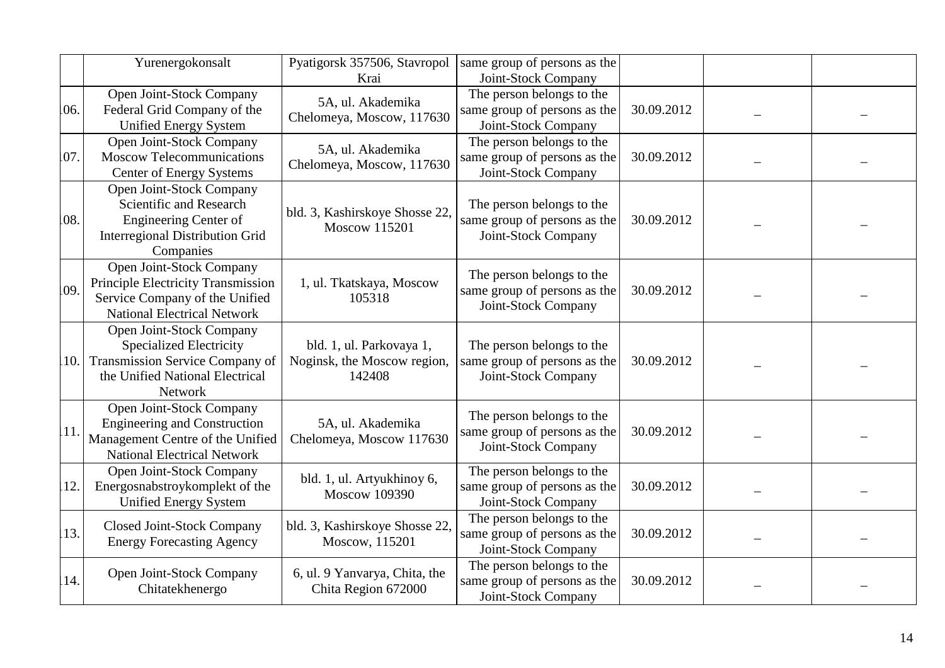|     | Yurenergokonsalt                                                                                                                            | Pyatigorsk 357506, Stavropol<br>Krai                              | same group of persons as the<br>Joint-Stock Company                              |            |  |
|-----|---------------------------------------------------------------------------------------------------------------------------------------------|-------------------------------------------------------------------|----------------------------------------------------------------------------------|------------|--|
| 06. | Open Joint-Stock Company<br>Federal Grid Company of the<br><b>Unified Energy System</b>                                                     | 5A, ul. Akademika<br>Chelomeya, Moscow, 117630                    | The person belongs to the<br>same group of persons as the<br>Joint-Stock Company | 30.09.2012 |  |
| 07  | Open Joint-Stock Company<br><b>Moscow Telecommunications</b><br><b>Center of Energy Systems</b>                                             | 5A, ul. Akademika<br>Chelomeya, Moscow, 117630                    | The person belongs to the<br>same group of persons as the<br>Joint-Stock Company | 30.09.2012 |  |
| 08. | Open Joint-Stock Company<br>Scientific and Research<br><b>Engineering Center of</b><br><b>Interregional Distribution Grid</b><br>Companies  | bld. 3, Kashirskoye Shosse 22,<br><b>Moscow 115201</b>            | The person belongs to the<br>same group of persons as the<br>Joint-Stock Company | 30.09.2012 |  |
| 09. | Open Joint-Stock Company<br>Principle Electricity Transmission<br>Service Company of the Unified<br><b>National Electrical Network</b>      | 1, ul. Tkatskaya, Moscow<br>105318                                | The person belongs to the<br>same group of persons as the<br>Joint-Stock Company | 30.09.2012 |  |
| 10. | Open Joint-Stock Company<br><b>Specialized Electricity</b><br>Transmission Service Company of<br>the Unified National Electrical<br>Network | bld. 1, ul. Parkovaya 1,<br>Noginsk, the Moscow region,<br>142408 | The person belongs to the<br>same group of persons as the<br>Joint-Stock Company | 30.09.2012 |  |
| 11. | Open Joint-Stock Company<br><b>Engineering and Construction</b><br>Management Centre of the Unified<br><b>National Electrical Network</b>   | 5A, ul. Akademika<br>Chelomeya, Moscow 117630                     | The person belongs to the<br>same group of persons as the<br>Joint-Stock Company | 30.09.2012 |  |
| 12. | Open Joint-Stock Company<br>Energosnabstroykomplekt of the<br><b>Unified Energy System</b>                                                  | bld. 1, ul. Artyukhinoy 6,<br><b>Moscow 109390</b>                | The person belongs to the<br>same group of persons as the<br>Joint-Stock Company | 30.09.2012 |  |
| 13. | Closed Joint-Stock Company<br><b>Energy Forecasting Agency</b>                                                                              | bld. 3, Kashirskoye Shosse 22,<br>Moscow, 115201                  | The person belongs to the<br>same group of persons as the<br>Joint-Stock Company | 30.09.2012 |  |
| 14. | Open Joint-Stock Company<br>Chitatekhenergo                                                                                                 | 6, ul. 9 Yanvarya, Chita, the<br>Chita Region 672000              | The person belongs to the<br>same group of persons as the<br>Joint-Stock Company | 30.09.2012 |  |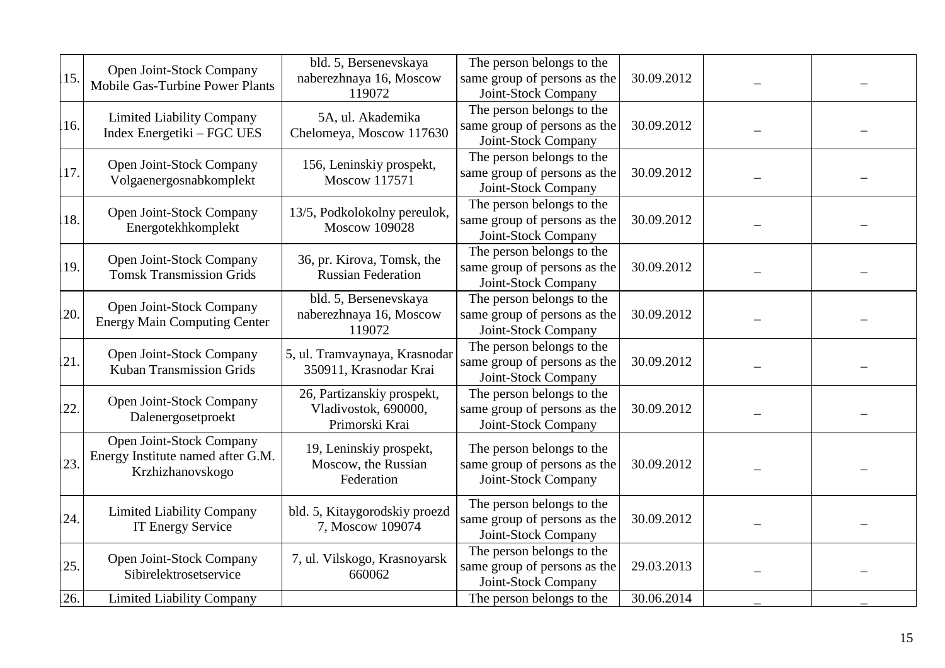| 15. | Open Joint-Stock Company<br><b>Mobile Gas-Turbine Power Plants</b>                | bld. 5, Bersenevskaya<br>naberezhnaya 16, Moscow<br>119072           | The person belongs to the<br>same group of persons as the<br>Joint-Stock Company | 30.09.2012 |  |
|-----|-----------------------------------------------------------------------------------|----------------------------------------------------------------------|----------------------------------------------------------------------------------|------------|--|
| 16. | <b>Limited Liability Company</b><br>Index Energetiki – FGC UES                    | 5A, ul. Akademika<br>Chelomeya, Moscow 117630                        | The person belongs to the<br>same group of persons as the<br>Joint-Stock Company | 30.09.2012 |  |
| 17. | Open Joint-Stock Company<br>Volgaenergosnabkomplekt                               | 156, Leninskiy prospekt,<br>Moscow 117571                            | The person belongs to the<br>same group of persons as the<br>Joint-Stock Company | 30.09.2012 |  |
| 18. | Open Joint-Stock Company<br>Energotekhkomplekt                                    | 13/5, Podkolokolny pereulok,<br><b>Moscow 109028</b>                 | The person belongs to the<br>same group of persons as the<br>Joint-Stock Company | 30.09.2012 |  |
| 19. | Open Joint-Stock Company<br><b>Tomsk Transmission Grids</b>                       | 36, pr. Kirova, Tomsk, the<br><b>Russian Federation</b>              | The person belongs to the<br>same group of persons as the<br>Joint-Stock Company | 30.09.2012 |  |
| 20. | Open Joint-Stock Company<br><b>Energy Main Computing Center</b>                   | bld. 5, Bersenevskaya<br>naberezhnaya 16, Moscow<br>119072           | The person belongs to the<br>same group of persons as the<br>Joint-Stock Company | 30.09.2012 |  |
| 21. | Open Joint-Stock Company<br>Kuban Transmission Grids                              | 5, ul. Tramvaynaya, Krasnodar<br>350911, Krasnodar Krai              | The person belongs to the<br>same group of persons as the<br>Joint-Stock Company | 30.09.2012 |  |
| 22  | Open Joint-Stock Company<br>Dalenergosetproekt                                    | 26, Partizanskiy prospekt,<br>Vladivostok, 690000,<br>Primorski Krai | The person belongs to the<br>same group of persons as the<br>Joint-Stock Company | 30.09.2012 |  |
| 23. | Open Joint-Stock Company<br>Energy Institute named after G.M.<br>Krzhizhanovskogo | 19, Leninskiy prospekt,<br>Moscow, the Russian<br>Federation         | The person belongs to the<br>same group of persons as the<br>Joint-Stock Company | 30.09.2012 |  |
| 24. | <b>Limited Liability Company</b><br><b>IT Energy Service</b>                      | bld. 5, Kitaygorodskiy proezd<br>7, Moscow 109074                    | The person belongs to the<br>same group of persons as the<br>Joint-Stock Company | 30.09.2012 |  |
| 25. | Open Joint-Stock Company<br>Sibirelektrosetservice                                | 7, ul. Vilskogo, Krasnoyarsk<br>660062                               | The person belongs to the<br>same group of persons as the<br>Joint-Stock Company | 29.03.2013 |  |
| 26. | <b>Limited Liability Company</b>                                                  |                                                                      | The person belongs to the                                                        | 30.06.2014 |  |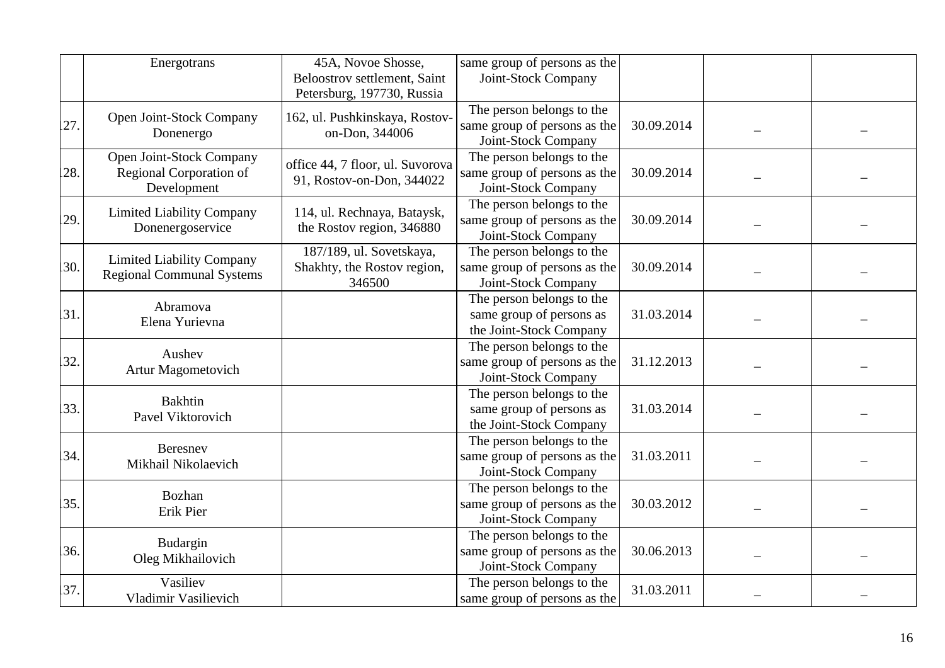|     | Energotrans                                                          | 45A, Novoe Shosse,<br>Beloostrov settlement, Saint<br>Petersburg, 197730, Russia | same group of persons as the<br>Joint-Stock Company                              |            |  |
|-----|----------------------------------------------------------------------|----------------------------------------------------------------------------------|----------------------------------------------------------------------------------|------------|--|
| 27. | Open Joint-Stock Company<br>Donenergo                                | 162, ul. Pushkinskaya, Rostov-<br>on-Don, 344006                                 | The person belongs to the<br>same group of persons as the<br>Joint-Stock Company | 30.09.2014 |  |
| 28. | Open Joint-Stock Company<br>Regional Corporation of<br>Development   | office 44, 7 floor, ul. Suvorova<br>91, Rostov-on-Don, 344022                    | The person belongs to the<br>same group of persons as the<br>Joint-Stock Company | 30.09.2014 |  |
| 29. | <b>Limited Liability Company</b><br>Donenergoservice                 | 114, ul. Rechnaya, Bataysk,<br>the Rostov region, 346880                         | The person belongs to the<br>same group of persons as the<br>Joint-Stock Company | 30.09.2014 |  |
| 30. | <b>Limited Liability Company</b><br><b>Regional Communal Systems</b> | 187/189, ul. Sovetskaya,<br>Shakhty, the Rostov region,<br>346500                | The person belongs to the<br>same group of persons as the<br>Joint-Stock Company | 30.09.2014 |  |
| 31. | Abramova<br>Elena Yurievna                                           |                                                                                  | The person belongs to the<br>same group of persons as<br>the Joint-Stock Company | 31.03.2014 |  |
| 32. | Aushev<br>Artur Magometovich                                         |                                                                                  | The person belongs to the<br>same group of persons as the<br>Joint-Stock Company | 31.12.2013 |  |
| 33. | <b>Bakhtin</b><br>Pavel Viktorovich                                  |                                                                                  | The person belongs to the<br>same group of persons as<br>the Joint-Stock Company | 31.03.2014 |  |
| 34. | Beresnev<br>Mikhail Nikolaevich                                      |                                                                                  | The person belongs to the<br>same group of persons as the<br>Joint-Stock Company | 31.03.2011 |  |
| 35. | <b>Bozhan</b><br>Erik Pier                                           |                                                                                  | The person belongs to the<br>same group of persons as the<br>Joint-Stock Company | 30.03.2012 |  |
| 36. | Budargin<br>Oleg Mikhailovich                                        |                                                                                  | The person belongs to the<br>same group of persons as the<br>Joint-Stock Company | 30.06.2013 |  |
| 37. | Vasiliev<br>Vladimir Vasilievich                                     |                                                                                  | The person belongs to the<br>same group of persons as the                        | 31.03.2011 |  |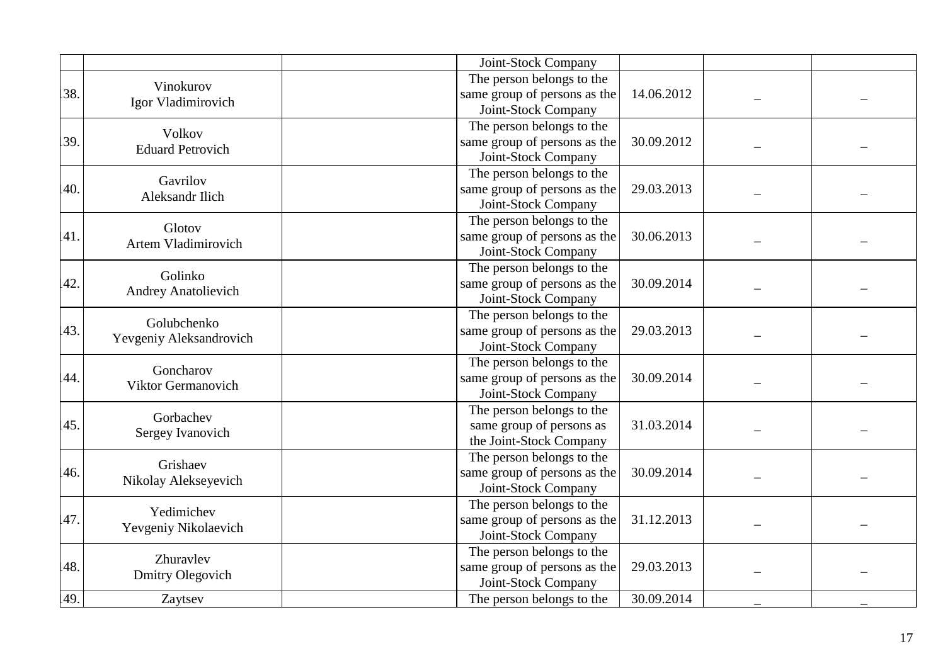|     |                                        | Joint-Stock Company                        |                     |  |
|-----|----------------------------------------|--------------------------------------------|---------------------|--|
|     | Vinokurov                              | The person belongs to the                  |                     |  |
| 38. |                                        | same group of persons as the<br>14.06.2012 |                     |  |
|     | Igor Vladimirovich                     | Joint-Stock Company                        |                     |  |
|     | Volkov                                 | The person belongs to the                  |                     |  |
| 39  | <b>Eduard Petrovich</b>                | same group of persons as the<br>30.09.2012 |                     |  |
|     |                                        | Joint-Stock Company                        |                     |  |
|     | Gavrilov                               | The person belongs to the                  |                     |  |
| 40. | Aleksandr Ilich                        | same group of persons as the<br>29.03.2013 |                     |  |
|     |                                        | Joint-Stock Company                        |                     |  |
|     | Glotov                                 | The person belongs to the                  |                     |  |
| 41. | Artem Vladimirovich                    | 30.06.2013<br>same group of persons as the |                     |  |
|     |                                        | Joint-Stock Company                        |                     |  |
|     | Golinko                                | The person belongs to the                  |                     |  |
| 42. | <b>Andrey Anatolievich</b>             | same group of persons as the<br>30.09.2014 |                     |  |
|     |                                        | Joint-Stock Company                        |                     |  |
|     | Golubchenko<br>Yevgeniy Aleksandrovich | The person belongs to the                  |                     |  |
| 43. |                                        | same group of persons as the<br>29.03.2013 |                     |  |
|     |                                        | Joint-Stock Company                        |                     |  |
|     | Goncharov                              | The person belongs to the                  |                     |  |
| 44. | Viktor Germanovich                     | 30.09.2014<br>same group of persons as the |                     |  |
|     |                                        | Joint-Stock Company                        |                     |  |
|     | Gorbachev                              | The person belongs to the                  |                     |  |
| 45. | Sergey Ivanovich                       | same group of persons as<br>31.03.2014     |                     |  |
|     |                                        | the Joint-Stock Company                    |                     |  |
|     | Grishaev                               | The person belongs to the                  |                     |  |
| 46. | Nikolay Alekseyevich                   | same group of persons as the<br>30.09.2014 |                     |  |
|     |                                        | Joint-Stock Company                        |                     |  |
|     | Yedimichev                             | The person belongs to the                  |                     |  |
| 47. | Yevgeniy Nikolaevich                   | same group of persons as the<br>31.12.2013 |                     |  |
|     |                                        | Joint-Stock Company                        |                     |  |
|     | Zhuravlev                              | The person belongs to the                  |                     |  |
| 48. | Dmitry Olegovich                       | same group of persons as the<br>29.03.2013 |                     |  |
|     |                                        |                                            | Joint-Stock Company |  |
| 49  | Zaytsev                                | 30.09.2014<br>The person belongs to the    |                     |  |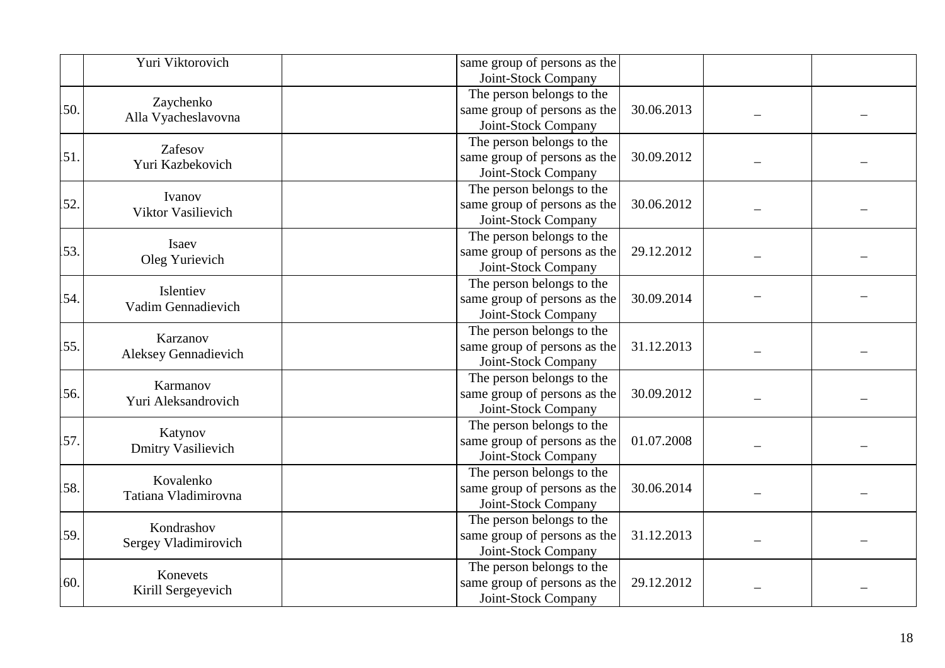|     | Yuri Viktorovich                     | same group of persons as the<br>Joint-Stock Company                                            |  |
|-----|--------------------------------------|------------------------------------------------------------------------------------------------|--|
| 50. | Zaychenko<br>Alla Vyacheslavovna     | The person belongs to the<br>same group of persons as the<br>30.06.2013<br>Joint-Stock Company |  |
| 51. | Zafesov<br>Yuri Kazbekovich          | The person belongs to the<br>same group of persons as the<br>30.09.2012<br>Joint-Stock Company |  |
| 52. | Ivanov<br>Viktor Vasilievich         | The person belongs to the<br>same group of persons as the<br>30.06.2012<br>Joint-Stock Company |  |
| 53. | Isaev<br>Oleg Yurievich              | The person belongs to the<br>same group of persons as the<br>29.12.2012<br>Joint-Stock Company |  |
| 54. | Islentiev<br>Vadim Gennadievich      | The person belongs to the<br>same group of persons as the<br>30.09.2014<br>Joint-Stock Company |  |
| 55. | Karzanov<br>Aleksey Gennadievich     | The person belongs to the<br>same group of persons as the<br>31.12.2013<br>Joint-Stock Company |  |
| 56. | Karmanov<br>Yuri Aleksandrovich      | The person belongs to the<br>30.09.2012<br>same group of persons as the<br>Joint-Stock Company |  |
| 57. | Katynov<br><b>Dmitry Vasilievich</b> | The person belongs to the<br>same group of persons as the<br>01.07.2008<br>Joint-Stock Company |  |
| 58. | Kovalenko<br>Tatiana Vladimirovna    | The person belongs to the<br>same group of persons as the<br>30.06.2014<br>Joint-Stock Company |  |
| 59. | Kondrashov<br>Sergey Vladimirovich   | The person belongs to the<br>same group of persons as the<br>31.12.2013<br>Joint-Stock Company |  |
| 60. | Konevets<br>Kirill Sergeyevich       | The person belongs to the<br>same group of persons as the<br>29.12.2012<br>Joint-Stock Company |  |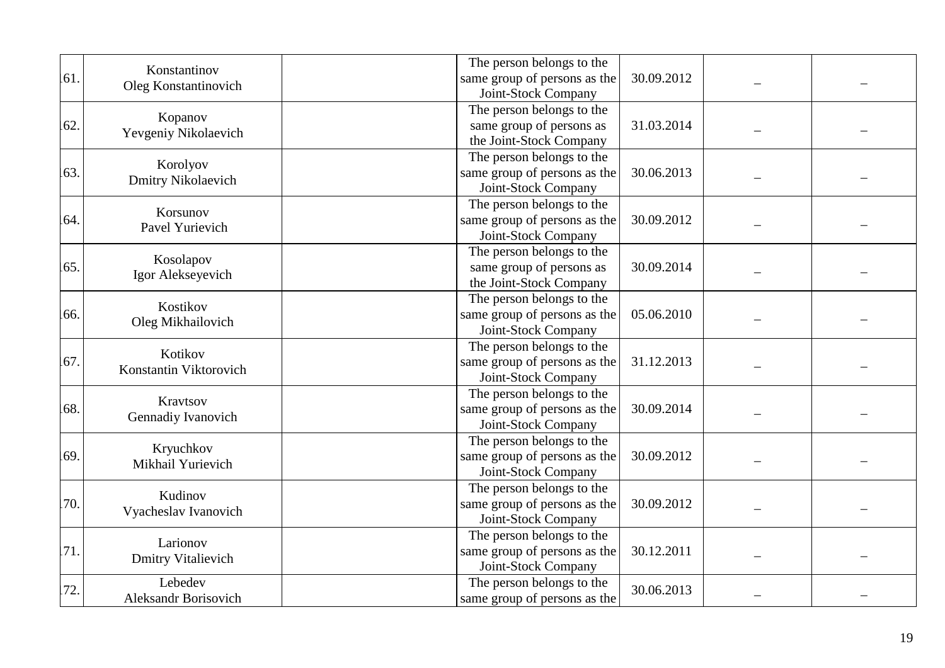| 61. | Konstantinov<br>Oleg Konstantinovich   | The person belongs to the<br>same group of persons as the                                               | 30.09.2012 |  |
|-----|----------------------------------------|---------------------------------------------------------------------------------------------------------|------------|--|
| 62. | Kopanov<br>Yevgeniy Nikolaevich        | Joint-Stock Company<br>The person belongs to the<br>same group of persons as<br>the Joint-Stock Company | 31.03.2014 |  |
| 63. | Korolyov<br>Dmitry Nikolaevich         | The person belongs to the<br>same group of persons as the<br>Joint-Stock Company                        | 30.06.2013 |  |
| 64. | Korsunov<br>Pavel Yurievich            | The person belongs to the<br>same group of persons as the<br>Joint-Stock Company                        | 30.09.2012 |  |
| 65. | Kosolapov<br>Igor Alekseyevich         | The person belongs to the<br>same group of persons as<br>the Joint-Stock Company                        | 30.09.2014 |  |
| 66. | Kostikov<br>Oleg Mikhailovich          | The person belongs to the<br>same group of persons as the<br>Joint-Stock Company                        | 05.06.2010 |  |
| 67. | Kotikov<br>Konstantin Viktorovich      | The person belongs to the<br>same group of persons as the<br>Joint-Stock Company                        | 31.12.2013 |  |
| 68. | Kravtsov<br>Gennadiy Ivanovich         | The person belongs to the<br>same group of persons as the<br>Joint-Stock Company                        | 30.09.2014 |  |
| 69  | Kryuchkov<br>Mikhail Yurievich         | The person belongs to the<br>same group of persons as the<br>Joint-Stock Company                        | 30.09.2012 |  |
| 70. | Kudinov<br>Vyacheslav Ivanovich        | The person belongs to the<br>same group of persons as the<br>Joint-Stock Company                        | 30.09.2012 |  |
| 71. | Larionov<br><b>Dmitry Vitalievich</b>  | The person belongs to the<br>same group of persons as the<br>Joint-Stock Company                        | 30.12.2011 |  |
| 72. | Lebedev<br><b>Aleksandr Borisovich</b> | The person belongs to the<br>same group of persons as the                                               | 30.06.2013 |  |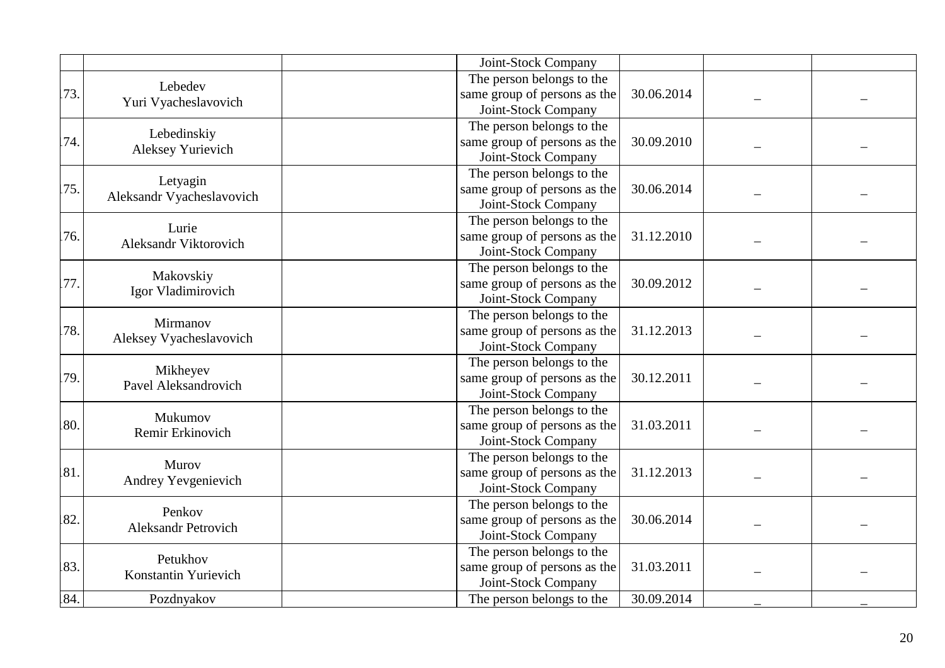|     |                            | Joint-Stock Company          |            |  |
|-----|----------------------------|------------------------------|------------|--|
|     | Lebedev                    | The person belongs to the    |            |  |
| 73. | Yuri Vyacheslavovich       | same group of persons as the | 30.06.2014 |  |
|     |                            | Joint-Stock Company          |            |  |
|     | Lebedinskiy                | The person belongs to the    |            |  |
| 74. | Aleksey Yurievich          | same group of persons as the | 30.09.2010 |  |
|     |                            | Joint-Stock Company          |            |  |
|     | Letyagin                   | The person belongs to the    |            |  |
| 75. | Aleksandr Vyacheslavovich  | same group of persons as the | 30.06.2014 |  |
|     |                            | Joint-Stock Company          |            |  |
|     | Lurie                      | The person belongs to the    |            |  |
| 76. | Aleksandr Viktorovich      | same group of persons as the | 31.12.2010 |  |
|     |                            | Joint-Stock Company          |            |  |
|     | Makovskiy                  | The person belongs to the    |            |  |
| 77. | Igor Vladimirovich         | same group of persons as the | 30.09.2012 |  |
|     |                            | Joint-Stock Company          |            |  |
|     | Mirmanov                   | The person belongs to the    |            |  |
| 78. |                            | same group of persons as the | 31.12.2013 |  |
|     | Aleksey Vyacheslavovich    | Joint-Stock Company          |            |  |
|     | Mikheyev                   | The person belongs to the    |            |  |
| 79. | Pavel Aleksandrovich       | same group of persons as the | 30.12.2011 |  |
|     |                            | Joint-Stock Company          |            |  |
|     | Mukumov                    | The person belongs to the    |            |  |
| 80. | Remir Erkinovich           | same group of persons as the | 31.03.2011 |  |
|     |                            | Joint-Stock Company          |            |  |
|     | Murov                      | The person belongs to the    |            |  |
| 81. | Andrey Yevgenievich        | same group of persons as the | 31.12.2013 |  |
|     |                            | Joint-Stock Company          |            |  |
|     | Penkov                     | The person belongs to the    |            |  |
| 82. | <b>Aleksandr Petrovich</b> | same group of persons as the | 30.06.2014 |  |
|     |                            | Joint-Stock Company          |            |  |
|     | Petukhov                   | The person belongs to the    |            |  |
| 83. | Konstantin Yurievich       | same group of persons as the | 31.03.2011 |  |
|     |                            | Joint-Stock Company          |            |  |
| 84. | Pozdnyakov                 | The person belongs to the    | 30.09.2014 |  |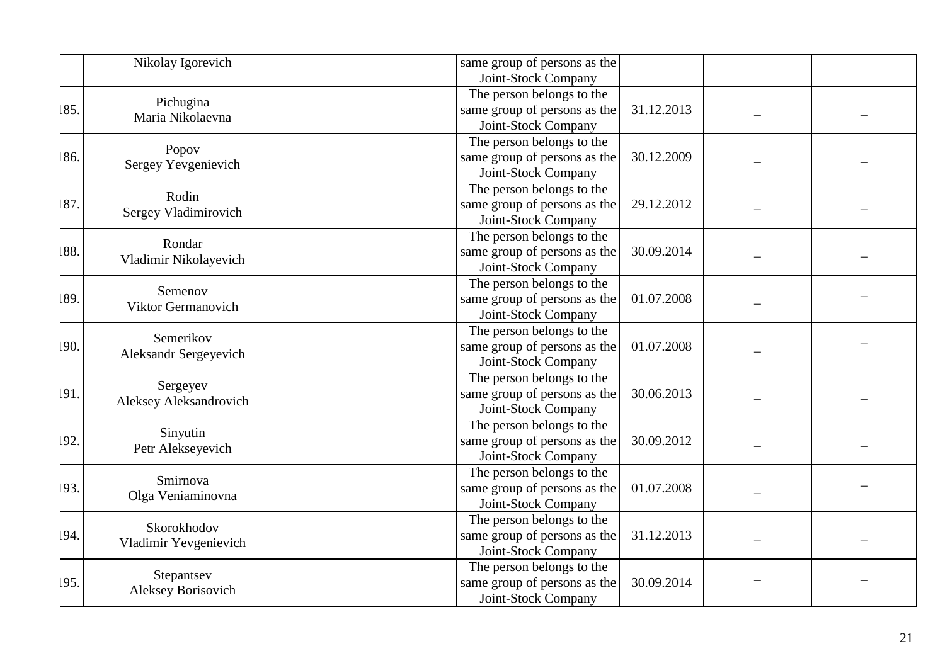|     | Nikolay Igorevich                       | same group of persons as the<br>Joint-Stock Company                                            |  |
|-----|-----------------------------------------|------------------------------------------------------------------------------------------------|--|
| 85. | Pichugina<br>Maria Nikolaevna           | The person belongs to the<br>same group of persons as the<br>31.12.2013<br>Joint-Stock Company |  |
| 86. | Popov<br>Sergey Yevgenievich            | The person belongs to the<br>same group of persons as the<br>30.12.2009<br>Joint-Stock Company |  |
| 87. | Rodin<br>Sergey Vladimirovich           | The person belongs to the<br>same group of persons as the<br>29.12.2012<br>Joint-Stock Company |  |
| 88. | Rondar<br>Vladimir Nikolayevich         | The person belongs to the<br>same group of persons as the<br>30.09.2014<br>Joint-Stock Company |  |
| 89. | Semenov<br>Viktor Germanovich           | The person belongs to the<br>same group of persons as the<br>01.07.2008<br>Joint-Stock Company |  |
| 90. | Semerikov<br>Aleksandr Sergeyevich      | The person belongs to the<br>same group of persons as the<br>01.07.2008<br>Joint-Stock Company |  |
| 91. | Sergeyev<br>Aleksey Aleksandrovich      | The person belongs to the<br>same group of persons as the<br>30.06.2013<br>Joint-Stock Company |  |
| 92. | Sinyutin<br>Petr Alekseyevich           | The person belongs to the<br>same group of persons as the<br>30.09.2012<br>Joint-Stock Company |  |
| 93. | Smirnova<br>Olga Veniaminovna           | The person belongs to the<br>same group of persons as the<br>01.07.2008<br>Joint-Stock Company |  |
| 94. | Skorokhodov<br>Vladimir Yevgenievich    | The person belongs to the<br>same group of persons as the<br>31.12.2013<br>Joint-Stock Company |  |
| 95. | Stepantsev<br><b>Aleksey Borisovich</b> | The person belongs to the<br>same group of persons as the<br>30.09.2014<br>Joint-Stock Company |  |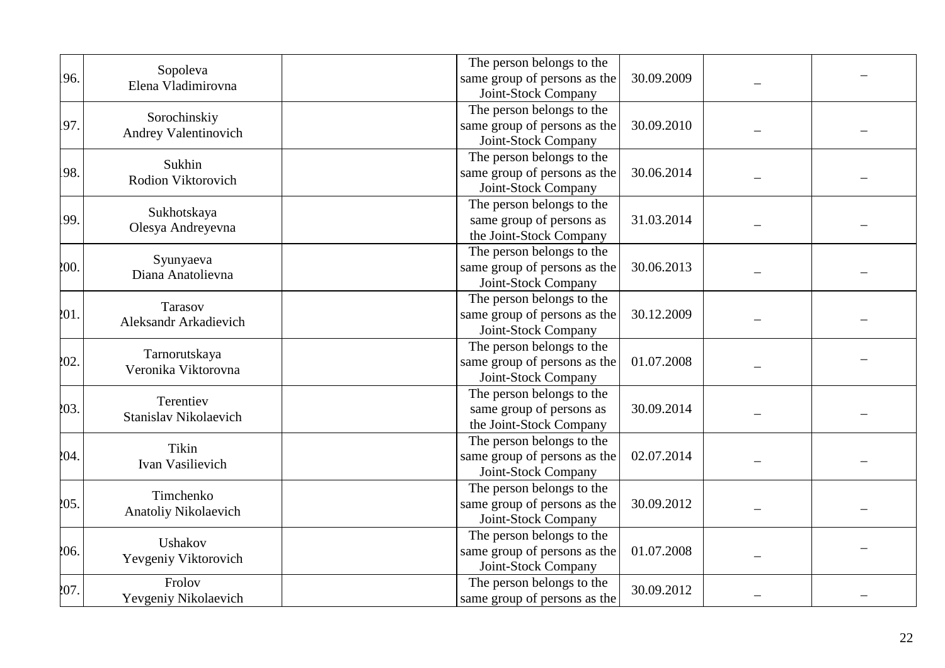| 96.  | Sopoleva<br>Elena Vladimirovna       | The person belongs to the<br>same group of persons as the<br>Joint-Stock Company | 30.09.2009 |  |
|------|--------------------------------------|----------------------------------------------------------------------------------|------------|--|
| 97.  | Sorochinskiy<br>Andrey Valentinovich | The person belongs to the<br>same group of persons as the<br>Joint-Stock Company | 30.09.2010 |  |
| 98.  | Sukhin<br>Rodion Viktorovich         | The person belongs to the<br>same group of persons as the<br>Joint-Stock Company | 30.06.2014 |  |
| 99.  | Sukhotskaya<br>Olesya Andreyevna     | The person belongs to the<br>same group of persons as<br>the Joint-Stock Company | 31.03.2014 |  |
| 200. | Syunyaeva<br>Diana Anatolievna       | The person belongs to the<br>same group of persons as the<br>Joint-Stock Company | 30.06.2013 |  |
| 201  | Tarasov<br>Aleksandr Arkadievich     | The person belongs to the<br>same group of persons as the<br>Joint-Stock Company | 30.12.2009 |  |
| 202. | Tarnorutskaya<br>Veronika Viktorovna | The person belongs to the<br>same group of persons as the<br>Joint-Stock Company | 01.07.2008 |  |
| 203. | Terentiev<br>Stanislav Nikolaevich   | The person belongs to the<br>same group of persons as<br>the Joint-Stock Company | 30.09.2014 |  |
| 204. | Tikin<br>Ivan Vasilievich            | The person belongs to the<br>same group of persons as the<br>Joint-Stock Company | 02.07.2014 |  |
| 205. | Timchenko<br>Anatoliy Nikolaevich    | The person belongs to the<br>same group of persons as the<br>Joint-Stock Company | 30.09.2012 |  |
| 206. | Ushakov<br>Yevgeniy Viktorovich      | The person belongs to the<br>same group of persons as the<br>Joint-Stock Company | 01.07.2008 |  |
| 207. | Frolov<br>Yevgeniy Nikolaevich       | The person belongs to the<br>same group of persons as the                        | 30.09.2012 |  |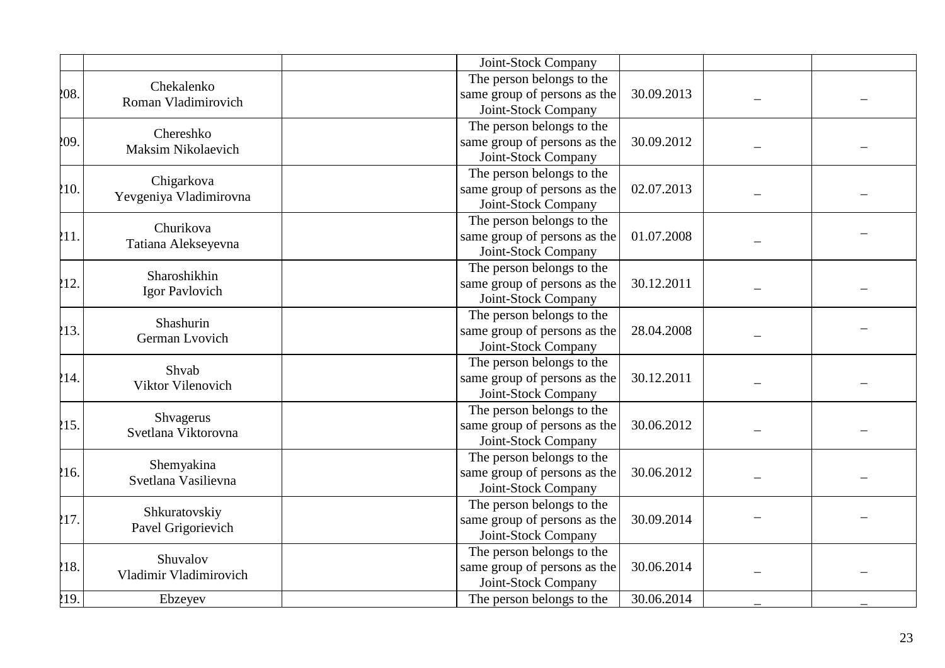|      |                             | Joint-Stock Company          |            |  |
|------|-----------------------------|------------------------------|------------|--|
|      | Chekalenko                  | The person belongs to the    |            |  |
| 208. | Roman Vladimirovich         | same group of persons as the | 30.09.2013 |  |
|      |                             | Joint-Stock Company          |            |  |
|      | Chereshko                   | The person belongs to the    |            |  |
| 209. | Maksim Nikolaevich          | same group of persons as the | 30.09.2012 |  |
|      |                             | Joint-Stock Company          |            |  |
|      | Chigarkova                  | The person belongs to the    |            |  |
| 210. | Yevgeniya Vladimirovna      | same group of persons as the | 02.07.2013 |  |
|      |                             | Joint-Stock Company          |            |  |
|      | Churikova                   | The person belongs to the    |            |  |
| 211. | Tatiana Alekseyevna         | same group of persons as the | 01.07.2008 |  |
|      |                             | Joint-Stock Company          |            |  |
| 212. | Sharoshikhin                | The person belongs to the    |            |  |
|      | Igor Pavlovich              | same group of persons as the | 30.12.2011 |  |
|      |                             | Joint-Stock Company          |            |  |
|      | Shashurin<br>German Lvovich | The person belongs to the    |            |  |
| 213. |                             | same group of persons as the | 28.04.2008 |  |
|      |                             | Joint-Stock Company          |            |  |
|      | Shvab                       | The person belongs to the    |            |  |
| 214. | Viktor Vilenovich           | same group of persons as the | 30.12.2011 |  |
|      |                             | Joint-Stock Company          |            |  |
|      | Shvagerus                   | The person belongs to the    |            |  |
| 215. | Svetlana Viktorovna         | same group of persons as the | 30.06.2012 |  |
|      |                             | Joint-Stock Company          |            |  |
|      | Shemyakina                  | The person belongs to the    |            |  |
| 216. | Svetlana Vasilievna         | same group of persons as the | 30.06.2012 |  |
|      |                             | Joint-Stock Company          |            |  |
|      | Shkuratovskiy               | The person belongs to the    |            |  |
| 217. | Pavel Grigorievich          | same group of persons as the | 30.09.2014 |  |
|      |                             | Joint-Stock Company          |            |  |
|      | Shuvalov                    | The person belongs to the    |            |  |
| 218. | Vladimir Vladimirovich      | same group of persons as the | 30.06.2014 |  |
|      |                             | Joint-Stock Company          |            |  |
| 219. | Ebzeyev                     | The person belongs to the    | 30.06.2014 |  |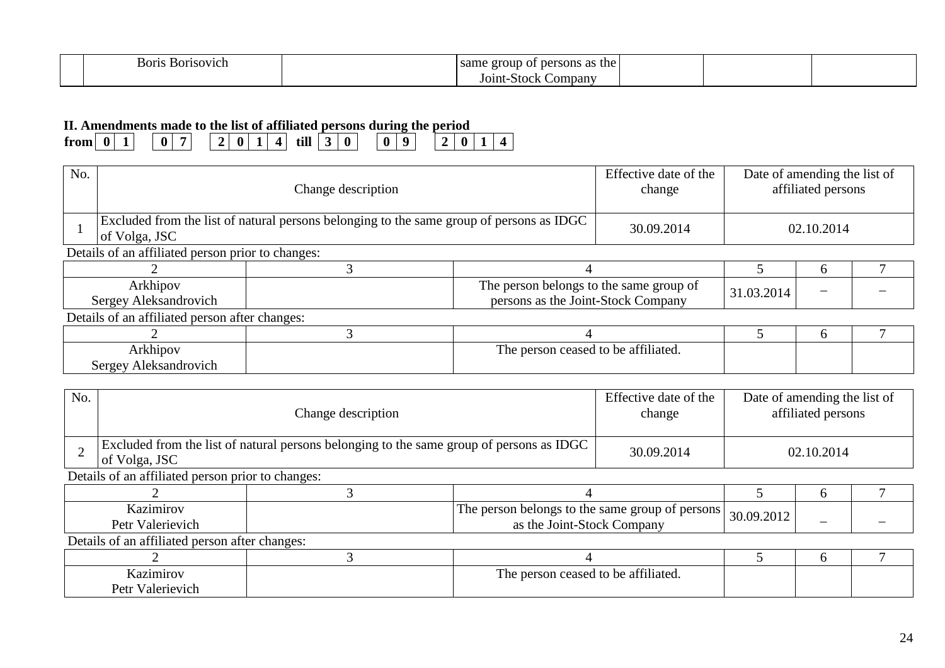| 30ris<br>30risovich | as the<br>roun<br>. per <sup>.</sup><br>rsons<br>same<br>UT<br>,,<br>. . |  |  |
|---------------------|--------------------------------------------------------------------------|--|--|
|                     | ompany<br>-stoch<br>01nt-                                                |  |  |

## **II. Amendments made to the list of affiliated persons during the period**

| $-1$<br>$\boldsymbol{0}$<br>45 D J<br>u<br>u<br>$\sqrt{2}$<br>trom<br>-un<br>,, |
|---------------------------------------------------------------------------------|
|---------------------------------------------------------------------------------|

| No. |                                                                                                           | Change description |                                                                               |  | Date of amending the list of<br>affiliated persons |              |  |  |  |
|-----|-----------------------------------------------------------------------------------------------------------|--------------------|-------------------------------------------------------------------------------|--|----------------------------------------------------|--------------|--|--|--|
|     | Excluded from the list of natural persons belonging to the same group of persons as IDGC<br>of Volga, JSC | 30.09.2014         | 02.10.2014                                                                    |  |                                                    |              |  |  |  |
|     | Details of an affiliated person prior to changes:                                                         |                    |                                                                               |  |                                                    |              |  |  |  |
|     |                                                                                                           |                    |                                                                               |  |                                                    |              |  |  |  |
|     | Arkhipov<br>Sergey Aleksandrovich                                                                         |                    | The person belongs to the same group of<br>persons as the Joint-Stock Company |  | 31.03.2014                                         |              |  |  |  |
|     | Details of an affiliated person after changes:                                                            |                    |                                                                               |  |                                                    |              |  |  |  |
|     |                                                                                                           |                    |                                                                               |  |                                                    | <sub>0</sub> |  |  |  |
|     | The person ceased to be affiliated.<br>Arkhipov<br>Sergey Aleksandrovich                                  |                    |                                                                               |  |                                                    |              |  |  |  |

| No. |                                                   | Effective date of the<br>change                                                          |                                                                               | Date of amending the list of<br>affiliated persons |            |              |  |  |  |
|-----|---------------------------------------------------|------------------------------------------------------------------------------------------|-------------------------------------------------------------------------------|----------------------------------------------------|------------|--------------|--|--|--|
|     | of Volga, JSC                                     | Excluded from the list of natural persons belonging to the same group of persons as IDGC |                                                                               |                                                    |            | 02.10.2014   |  |  |  |
|     | Details of an affiliated person prior to changes: |                                                                                          |                                                                               |                                                    |            |              |  |  |  |
|     |                                                   |                                                                                          |                                                                               |                                                    |            | $\sigma$     |  |  |  |
|     | Kazimirov<br>Petr Valerievich                     |                                                                                          | The person belongs to the same group of persons<br>as the Joint-Stock Company |                                                    | 30.09.2012 |              |  |  |  |
|     | Details of an affiliated person after changes:    |                                                                                          |                                                                               |                                                    |            |              |  |  |  |
|     |                                                   |                                                                                          |                                                                               |                                                    |            | <sub>0</sub> |  |  |  |
|     | Kazimirov<br>The person ceased to be affiliated.  |                                                                                          |                                                                               |                                                    |            |              |  |  |  |
|     | Petr Valerievich                                  |                                                                                          |                                                                               |                                                    |            |              |  |  |  |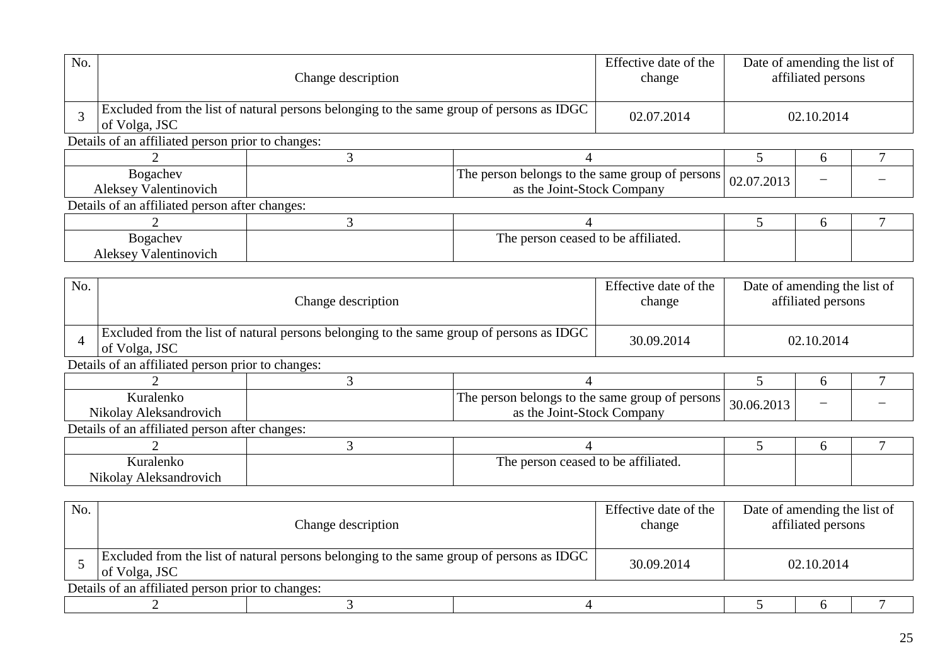| No.                                                                                                                       |                                                                          | Change description<br>Excluded from the list of natural persons belonging to the same group of persons as IDGC |                                                                               |                                 |            | Date of amending the list of<br>affiliated persons                                                 |   |  |  |
|---------------------------------------------------------------------------------------------------------------------------|--------------------------------------------------------------------------|----------------------------------------------------------------------------------------------------------------|-------------------------------------------------------------------------------|---------------------------------|------------|----------------------------------------------------------------------------------------------------|---|--|--|
| 3                                                                                                                         | of Volga, JSC                                                            |                                                                                                                |                                                                               | 02.07.2014                      |            | 02.10.2014<br>6<br>7<br>6<br>Date of amending the list of<br>affiliated persons<br>02.10.2014<br>6 |   |  |  |
|                                                                                                                           | Details of an affiliated person prior to changes:                        |                                                                                                                |                                                                               |                                 |            |                                                                                                    |   |  |  |
|                                                                                                                           |                                                                          | 3                                                                                                              | 4                                                                             |                                 | 5          |                                                                                                    |   |  |  |
| The person belongs to the same group of persons<br>Bogachev<br><b>Aleksey Valentinovich</b><br>as the Joint-Stock Company |                                                                          |                                                                                                                |                                                                               | 02.07.2013                      |            |                                                                                                    |   |  |  |
|                                                                                                                           | Details of an affiliated person after changes:                           |                                                                                                                |                                                                               |                                 |            |                                                                                                    |   |  |  |
|                                                                                                                           | 3<br>$\mathcal{D}_{\cdot}$<br>$\overline{4}$                             |                                                                                                                |                                                                               |                                 |            |                                                                                                    |   |  |  |
|                                                                                                                           | Bogachev<br>The person ceased to be affiliated.<br>Aleksey Valentinovich |                                                                                                                |                                                                               |                                 |            |                                                                                                    |   |  |  |
|                                                                                                                           |                                                                          |                                                                                                                |                                                                               |                                 |            |                                                                                                    |   |  |  |
| No.                                                                                                                       | Change description                                                       |                                                                                                                |                                                                               | Effective date of the<br>change |            | 7<br>6<br>Date of amending the list of<br>affiliated persons                                       |   |  |  |
| $\overline{A}$                                                                                                            | of Volga, JSC                                                            | Excluded from the list of natural persons belonging to the same group of persons as IDGC                       |                                                                               | 30.09.2014                      |            |                                                                                                    |   |  |  |
|                                                                                                                           | Details of an affiliated person prior to changes:                        |                                                                                                                |                                                                               |                                 |            |                                                                                                    |   |  |  |
|                                                                                                                           |                                                                          | 3                                                                                                              | $\overline{4}$                                                                |                                 | 5          |                                                                                                    |   |  |  |
|                                                                                                                           | Kuralenko<br>Nikolay Aleksandrovich                                      |                                                                                                                | The person belongs to the same group of persons<br>as the Joint-Stock Company |                                 | 30.06.2013 |                                                                                                    |   |  |  |
|                                                                                                                           | Details of an affiliated person after changes:                           |                                                                                                                |                                                                               |                                 |            |                                                                                                    |   |  |  |
|                                                                                                                           | $\overline{2}$                                                           | 3                                                                                                              | $\overline{4}$                                                                |                                 | 5          |                                                                                                    |   |  |  |
|                                                                                                                           | Kuralenko<br>Nikolay Aleksandrovich                                      |                                                                                                                | The person ceased to be affiliated.                                           |                                 |            |                                                                                                    |   |  |  |
| No.                                                                                                                       | Change description                                                       |                                                                                                                |                                                                               | Effective date of the<br>change |            |                                                                                                    |   |  |  |
| Excluded from the list of natural persons belonging to the same group of persons as IDGC<br>5<br>of Volga, JSC            |                                                                          |                                                                                                                | 30.09.2014                                                                    |                                 | 02.10.2014 |                                                                                                    |   |  |  |
|                                                                                                                           | Details of an affiliated person prior to changes:                        |                                                                                                                |                                                                               |                                 |            |                                                                                                    |   |  |  |
|                                                                                                                           | $\overline{2}$                                                           | 3                                                                                                              | $\overline{4}$                                                                |                                 | 5          | 6                                                                                                  | 7 |  |  |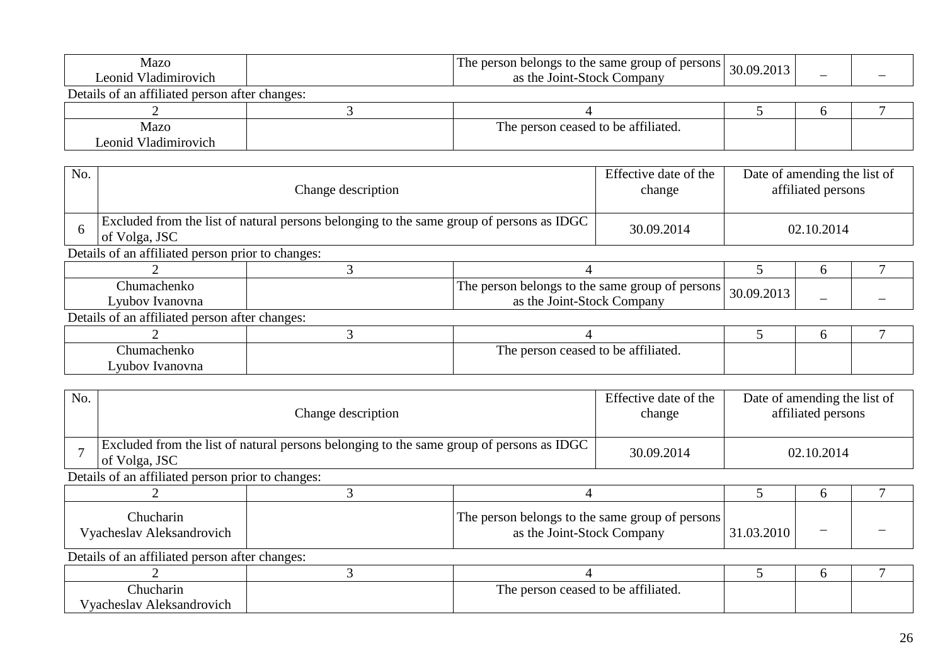| Mazo<br>Leonid Vladimirovich                   | The person belongs to the same group of persons<br>as the Joint-Stock Company | 30.09.2013 |  |
|------------------------------------------------|-------------------------------------------------------------------------------|------------|--|
| Details of an affiliated person after changes: |                                                                               |            |  |
|                                                |                                                                               |            |  |
| Mazo                                           | The person ceased to be affiliated.                                           |            |  |
| Leonid Vladimirovich                           |                                                                               |            |  |

| No. |                                                   | Change description                                                                       |                                     |  |            | Date of amending the list of<br>affiliated persons |  |  |  |  |
|-----|---------------------------------------------------|------------------------------------------------------------------------------------------|-------------------------------------|--|------------|----------------------------------------------------|--|--|--|--|
| -6  | of Volga, JSC                                     | Excluded from the list of natural persons belonging to the same group of persons as IDGC | 30.09.2014                          |  | 02.10.2014 |                                                    |  |  |  |  |
|     | Details of an affiliated person prior to changes: |                                                                                          |                                     |  |            |                                                    |  |  |  |  |
|     |                                                   |                                                                                          |                                     |  |            | $\mathfrak b$                                      |  |  |  |  |
|     | Chumachenko<br>Lyubov Ivanovna                    | The person belongs to the same group of persons<br>as the Joint-Stock Company            |                                     |  | 30.09.2013 |                                                    |  |  |  |  |
|     | Details of an affiliated person after changes:    |                                                                                          |                                     |  |            |                                                    |  |  |  |  |
|     |                                                   |                                                                                          |                                     |  |            | h                                                  |  |  |  |  |
|     | Chumachenko<br>Lyubov Ivanovna                    |                                                                                          | The person ceased to be affiliated. |  |            |                                                    |  |  |  |  |

| No.                                    |                                                                               | Change description                                                                       |  |            |              | Date of amending the list of<br>affiliated persons |  |  |  |  |
|----------------------------------------|-------------------------------------------------------------------------------|------------------------------------------------------------------------------------------|--|------------|--------------|----------------------------------------------------|--|--|--|--|
|                                        | of Volga, JSC                                                                 | Excluded from the list of natural persons belonging to the same group of persons as IDGC |  |            |              | 02.10.2014                                         |  |  |  |  |
|                                        | Details of an affiliated person prior to changes:                             |                                                                                          |  |            |              |                                                    |  |  |  |  |
|                                        |                                                                               |                                                                                          |  |            |              | $\mathbf{a}$                                       |  |  |  |  |
| Chucharin<br>Vyacheslav Aleksandrovich |                                                                               | The person belongs to the same group of persons<br>as the Joint-Stock Company            |  | 31.03.2010 |              |                                                    |  |  |  |  |
|                                        | Details of an affiliated person after changes:                                |                                                                                          |  |            |              |                                                    |  |  |  |  |
|                                        |                                                                               |                                                                                          |  |            | <sub>0</sub> |                                                    |  |  |  |  |
|                                        | The person ceased to be affiliated.<br>Chucharin<br>Vyacheslav Aleksandrovich |                                                                                          |  |            |              |                                                    |  |  |  |  |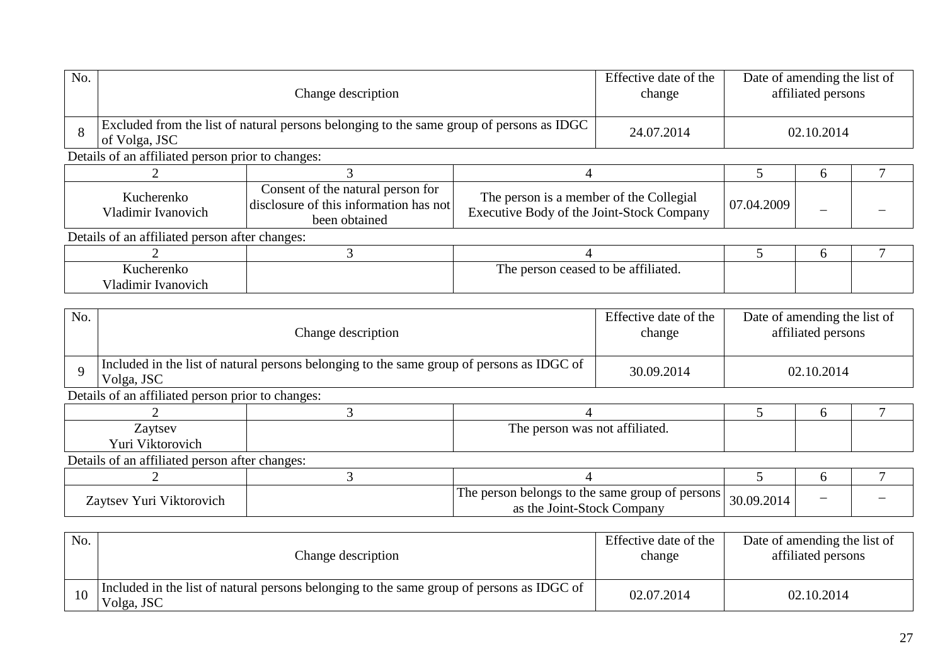| No. | Change description                                                                                        |                                                                                              |                                                                                      | Effective date of the<br>change | Date of amending the list of<br>affiliated persons |   |  |  |
|-----|-----------------------------------------------------------------------------------------------------------|----------------------------------------------------------------------------------------------|--------------------------------------------------------------------------------------|---------------------------------|----------------------------------------------------|---|--|--|
| 8   | Excluded from the list of natural persons belonging to the same group of persons as IDGC<br>of Volga, JSC | 24.07.2014                                                                                   |                                                                                      | 02.10.2014                      |                                                    |   |  |  |
|     | Details of an affiliated person prior to changes:                                                         |                                                                                              |                                                                                      |                                 |                                                    |   |  |  |
|     |                                                                                                           |                                                                                              |                                                                                      |                                 |                                                    | h |  |  |
|     | Kucherenko<br>Vladimir Ivanovich                                                                          | Consent of the natural person for<br>disclosure of this information has not<br>been obtained | The person is a member of the Collegial<br>Executive Body of the Joint-Stock Company |                                 | 07.04.2009                                         |   |  |  |
|     | Details of an affiliated person after changes:                                                            |                                                                                              |                                                                                      |                                 |                                                    |   |  |  |
|     |                                                                                                           |                                                                                              |                                                                                      |                                 |                                                    | 6 |  |  |
|     | Kucherenko<br>Vladimir Ivanovich                                                                          | The person ceased to be affiliated.                                                          |                                                                                      |                                 |                                                    |   |  |  |

| No. | Change description                                |                                                                                           |  | Effective date of the<br>change | Date of amending the list of<br>affiliated persons |  |  |  |  |
|-----|---------------------------------------------------|-------------------------------------------------------------------------------------------|--|---------------------------------|----------------------------------------------------|--|--|--|--|
|     | Volga, JSC                                        | Included in the list of natural persons belonging to the same group of persons as IDGC of |  | 30.09.2014                      | 02.10.2014                                         |  |  |  |  |
|     | Details of an affiliated person prior to changes: |                                                                                           |  |                                 |                                                    |  |  |  |  |
|     |                                                   |                                                                                           |  |                                 |                                                    |  |  |  |  |

| Zaytsey                                        | The person was not affiliated. |                                                                               |            |  |  |  |  |  |
|------------------------------------------------|--------------------------------|-------------------------------------------------------------------------------|------------|--|--|--|--|--|
| Yuri Viktorovich                               |                                |                                                                               |            |  |  |  |  |  |
| Details of an affiliated person after changes: |                                |                                                                               |            |  |  |  |  |  |
|                                                |                                |                                                                               |            |  |  |  |  |  |
| Zaytsev Yuri Viktorovich                       |                                | The person belongs to the same group of persons<br>as the Joint-Stock Company | 30.09.2014 |  |  |  |  |  |

| No. | Change description                                                                                      | Effective date of the<br>change | Date of amending the list of<br>affiliated persons |
|-----|---------------------------------------------------------------------------------------------------------|---------------------------------|----------------------------------------------------|
|     | Included in the list of natural persons belonging to the same group of persons as IDGC of<br>Volga, JSC | 02.07.2014                      | 02.10.2014                                         |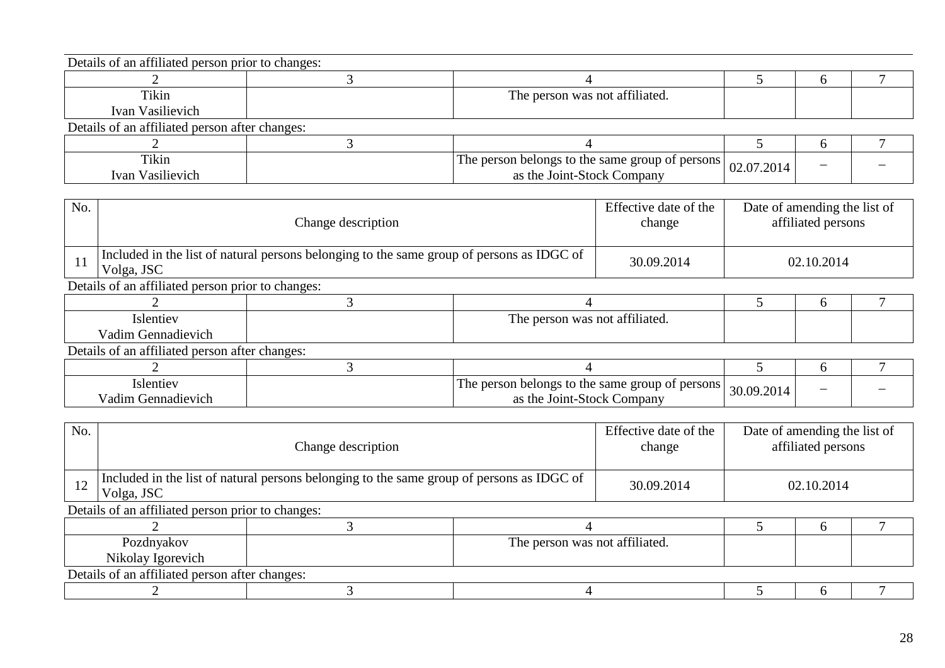| Details of an affiliated person prior to changes: |                                                                    |  |  |
|---------------------------------------------------|--------------------------------------------------------------------|--|--|
|                                                   |                                                                    |  |  |
| Tikin                                             | The person was not affiliated.                                     |  |  |
| Ivan Vasilievich                                  |                                                                    |  |  |
| Details of an affiliated person after changes:    |                                                                    |  |  |
|                                                   |                                                                    |  |  |
| Tikin                                             | The person belongs to the same group of persons $\vert$ 02.07.2014 |  |  |
| Ivan Vasilievich                                  | as the Joint-Stock Company                                         |  |  |

| No. | Change description                                                                                      | Effective date of the<br>change | Date of amending the list of<br>affiliated persons |  |  |  |  |  |
|-----|---------------------------------------------------------------------------------------------------------|---------------------------------|----------------------------------------------------|--|--|--|--|--|
|     | Included in the list of natural persons belonging to the same group of persons as IDGC of<br>Volga, JSC | 30.09.2014                      | 02.10.2014                                         |  |  |  |  |  |
|     | Details of an affiliated person prior to changes:                                                       |                                 |                                                    |  |  |  |  |  |
|     |                                                                                                         |                                 |                                                    |  |  |  |  |  |

| Islentiev                                      | The person was not affiliated.                                                |            |   |  |
|------------------------------------------------|-------------------------------------------------------------------------------|------------|---|--|
| Vadim Gennadievich                             |                                                                               |            |   |  |
| Details of an affiliated person after changes: |                                                                               |            |   |  |
|                                                |                                                                               |            |   |  |
| Islentiev<br>Vadim Gennadievich                | The person belongs to the same group of persons<br>as the Joint-Stock Company | 30.09.2014 | - |  |

| No.                                               |                                                                                                         | Change description |                                |            | Date of amending the list of<br>affiliated persons |  |
|---------------------------------------------------|---------------------------------------------------------------------------------------------------------|--------------------|--------------------------------|------------|----------------------------------------------------|--|
| 12                                                | Included in the list of natural persons belonging to the same group of persons as IDGC of<br>Volga, JSC |                    |                                | 30.09.2014 | 02.10.2014                                         |  |
| Details of an affiliated person prior to changes: |                                                                                                         |                    |                                |            |                                                    |  |
|                                                   |                                                                                                         |                    |                                |            | $\mathfrak{b}$                                     |  |
|                                                   | Pozdnyakov                                                                                              |                    | The person was not affiliated. |            |                                                    |  |
|                                                   | Nikolay Igorevich                                                                                       |                    |                                |            |                                                    |  |
|                                                   | Details of an affiliated person after changes:                                                          |                    |                                |            |                                                    |  |
|                                                   |                                                                                                         |                    |                                |            | h                                                  |  |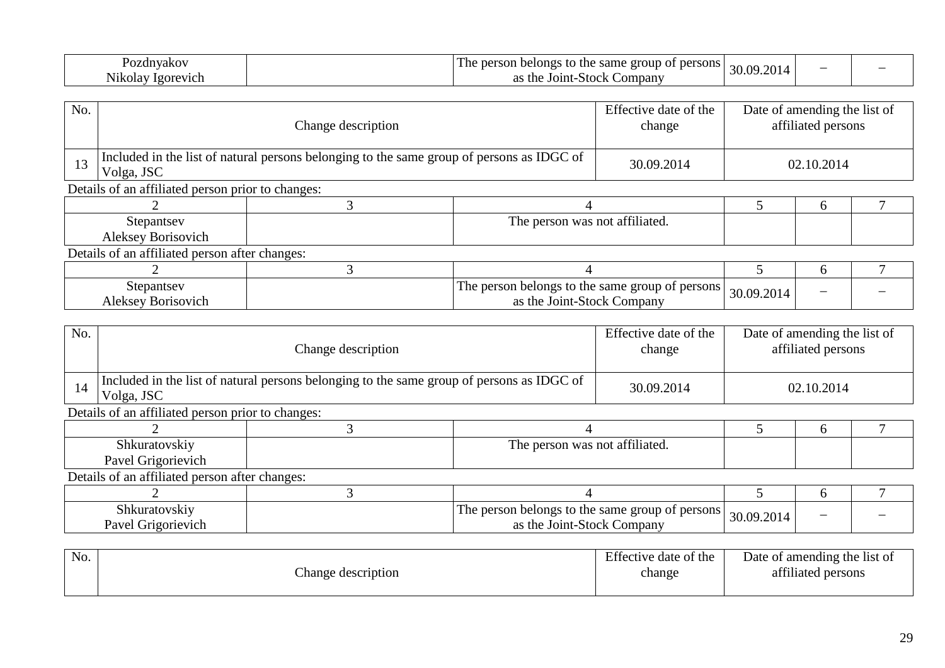| $\sim$<br>zdnyakov                           | m<br>ersons.<br>group<br>same<br>per<br>person<br>belongs<br>. The<br>uit | 2014<br>$\sim$<br>. .<br>י וור |  |
|----------------------------------------------|---------------------------------------------------------------------------|--------------------------------|--|
| $\bm{\tau}$ .<br><b>Nikolav</b><br>1gorevich | ∠ompanv<br>the<br>.-Stoc⊭<br>JOINT-                                       | .<br>$-$                       |  |

| No. |                                                   | Change description                                                                        |                                                                               |  | Date of amending the list of | affiliated persons |  |
|-----|---------------------------------------------------|-------------------------------------------------------------------------------------------|-------------------------------------------------------------------------------|--|------------------------------|--------------------|--|
| 13  | Volga, JSC                                        | Included in the list of natural persons belonging to the same group of persons as IDGC of |                                                                               |  |                              | 02.10.2014         |  |
|     | Details of an affiliated person prior to changes: |                                                                                           |                                                                               |  |                              |                    |  |
|     |                                                   |                                                                                           |                                                                               |  |                              | 6                  |  |
|     | Stepantsev                                        |                                                                                           | The person was not affiliated.                                                |  |                              |                    |  |
|     | Aleksey Borisovich                                |                                                                                           |                                                                               |  |                              |                    |  |
|     | Details of an affiliated person after changes:    |                                                                                           |                                                                               |  |                              |                    |  |
|     |                                                   |                                                                                           |                                                                               |  |                              | h                  |  |
|     | Stepantsey<br>Aleksey Borisovich                  |                                                                                           | The person belongs to the same group of persons<br>as the Joint-Stock Company |  | 30.09.2014                   |                    |  |

| No.                                               |                                                                                                         | Change description |                                                                               |            |            | Date of amending the list of<br>affiliated persons |  |
|---------------------------------------------------|---------------------------------------------------------------------------------------------------------|--------------------|-------------------------------------------------------------------------------|------------|------------|----------------------------------------------------|--|
| 14                                                | Included in the list of natural persons belonging to the same group of persons as IDGC of<br>Volga, JSC | 30.09.2014         |                                                                               | 02.10.2014 |            |                                                    |  |
| Details of an affiliated person prior to changes: |                                                                                                         |                    |                                                                               |            |            |                                                    |  |
|                                                   |                                                                                                         |                    |                                                                               |            |            | <sub>6</sub>                                       |  |
|                                                   | Shkuratovskiy                                                                                           |                    | The person was not affiliated.                                                |            |            |                                                    |  |
|                                                   | Pavel Grigorievich                                                                                      |                    |                                                                               |            |            |                                                    |  |
|                                                   | Details of an affiliated person after changes:                                                          |                    |                                                                               |            |            |                                                    |  |
|                                                   |                                                                                                         |                    |                                                                               |            |            | 6                                                  |  |
|                                                   | Shkuratovskiy<br>Pavel Grigorievich                                                                     |                    | The person belongs to the same group of persons<br>as the Joint-Stock Company |            | 30.09.2014 |                                                    |  |

| No. | hange description | Effective date of the<br>change | Date of amending the list of<br>attiliated persons |
|-----|-------------------|---------------------------------|----------------------------------------------------|
|     |                   |                                 |                                                    |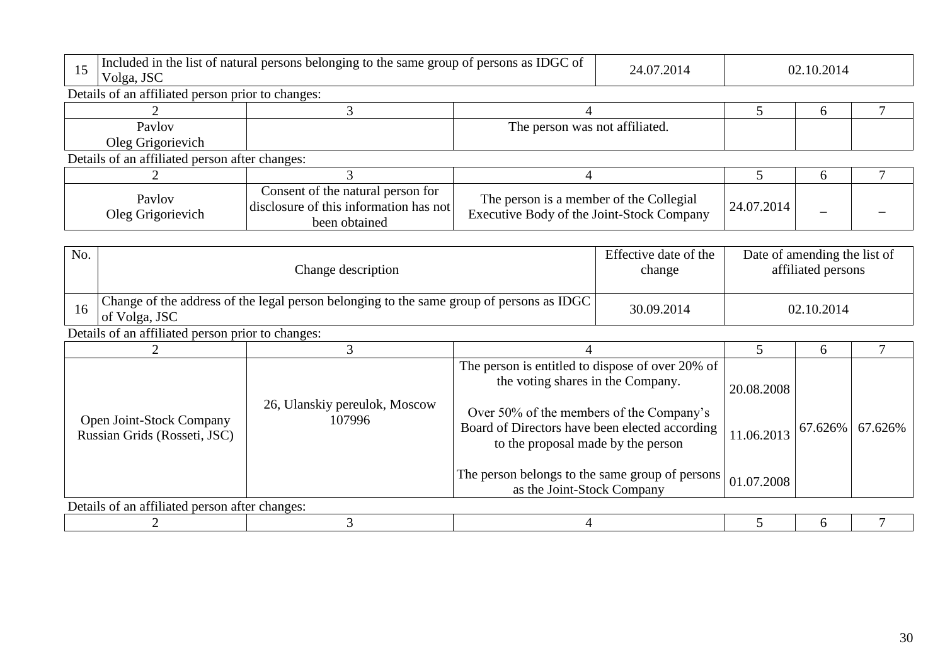| 15<br>Volga, JSC                                                                                                | Included in the list of natural persons belonging to the same group of persons as IDGC of    |                                                                                                                                  | 24.07.2014                     |            | 02.10.2014                   |                |  |
|-----------------------------------------------------------------------------------------------------------------|----------------------------------------------------------------------------------------------|----------------------------------------------------------------------------------------------------------------------------------|--------------------------------|------------|------------------------------|----------------|--|
|                                                                                                                 | Details of an affiliated person prior to changes:                                            |                                                                                                                                  |                                |            |                              |                |  |
|                                                                                                                 | 3                                                                                            |                                                                                                                                  |                                | 5          | 6                            |                |  |
| Paylov                                                                                                          |                                                                                              |                                                                                                                                  | The person was not affiliated. |            |                              |                |  |
| Oleg Grigorievich                                                                                               |                                                                                              |                                                                                                                                  |                                |            |                              |                |  |
| Details of an affiliated person after changes:                                                                  |                                                                                              |                                                                                                                                  |                                |            |                              |                |  |
|                                                                                                                 | 3                                                                                            | 4                                                                                                                                |                                | 5          | 6                            | $\overline{7}$ |  |
| Paylov<br>Oleg Grigorievich                                                                                     | Consent of the natural person for<br>disclosure of this information has not<br>been obtained | The person is a member of the Collegial<br>Executive Body of the Joint-Stock Company                                             |                                | 24.07.2014 |                              |                |  |
|                                                                                                                 |                                                                                              |                                                                                                                                  |                                |            |                              |                |  |
| No.                                                                                                             |                                                                                              |                                                                                                                                  | Effective date of the          |            | Date of amending the list of |                |  |
| Change description                                                                                              |                                                                                              |                                                                                                                                  | change                         |            | affiliated persons           |                |  |
| Change of the address of the legal person belonging to the same group of persons as IDGC<br>16<br>of Volga, JSC |                                                                                              |                                                                                                                                  | 30.09.2014                     |            | 02.10.2014                   |                |  |
| Details of an affiliated person prior to changes:                                                               |                                                                                              |                                                                                                                                  |                                |            |                              |                |  |
| $\overline{2}$                                                                                                  | 3                                                                                            | 4                                                                                                                                |                                | 5          | 6                            | $\tau$         |  |
|                                                                                                                 | 26, Ulanskiy pereulok, Moscow                                                                | The person is entitled to dispose of over 20% of<br>the voting shares in the Company.                                            |                                | 20.08.2008 |                              |                |  |
| Open Joint-Stock Company<br>Russian Grids (Rosseti, JSC)                                                        | 107996                                                                                       | Over 50% of the members of the Company's<br>Board of Directors have been elected according<br>to the proposal made by the person |                                | 11.06.2013 | 67.626%                      | 67.626%        |  |
|                                                                                                                 |                                                                                              | The person belongs to the same group of persons<br>as the Joint-Stock Company                                                    |                                | 01.07.2008 |                              |                |  |
| Details of an affiliated person after changes:                                                                  |                                                                                              |                                                                                                                                  |                                |            |                              |                |  |
|                                                                                                                 | 3                                                                                            | 4                                                                                                                                |                                | 5          | 6                            |                |  |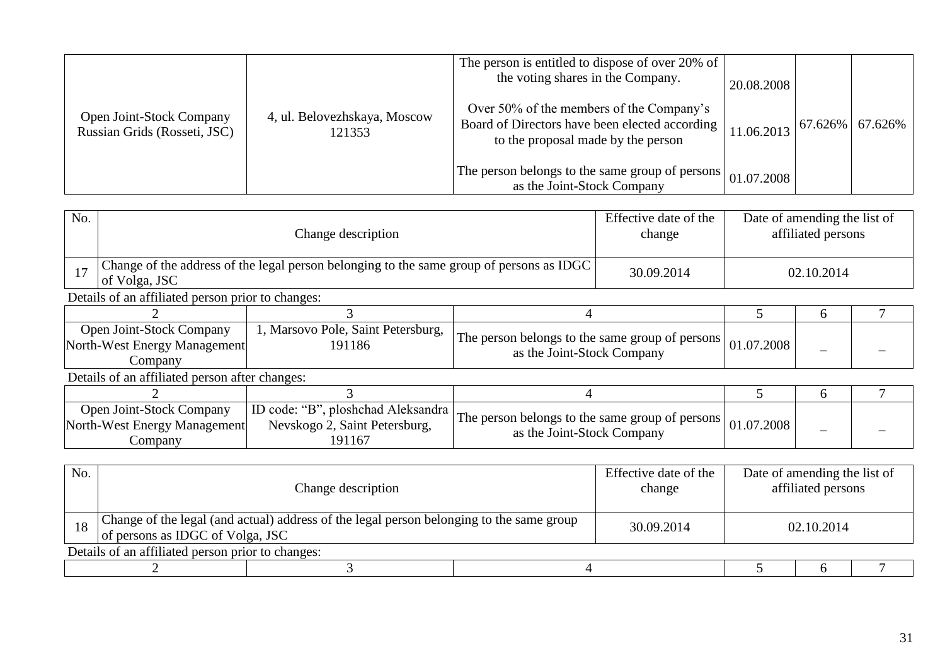|                                                          |                                        | The person is entitled to dispose of over 20% of<br>the voting shares in the Company.                                              | 20.08.2008 |                     |  |
|----------------------------------------------------------|----------------------------------------|------------------------------------------------------------------------------------------------------------------------------------|------------|---------------------|--|
| Open Joint-Stock Company<br>Russian Grids (Rosseti, JSC) | 4, ul. Belovezhskaya, Moscow<br>121353 | Over 50% of the members of the Company's<br>Board of Directors have been elected according  <br>to the proposal made by the person | 11.06.2013 | $67.626\%$ 67.626\% |  |
|                                                          |                                        | The person belongs to the same group of persons<br>as the Joint-Stock Company                                                      | 01.07.2008 |                     |  |

| No.                                                                                                                                                                                                  |                                                                                                           | Change description                                                            |                                                                               |            | Date of amending the list of | affiliated persons |  |
|------------------------------------------------------------------------------------------------------------------------------------------------------------------------------------------------------|-----------------------------------------------------------------------------------------------------------|-------------------------------------------------------------------------------|-------------------------------------------------------------------------------|------------|------------------------------|--------------------|--|
| 17                                                                                                                                                                                                   | Change of the address of the legal person belonging to the same group of persons as IDGC<br>of Volga, JSC |                                                                               |                                                                               | 30.09.2014 |                              | 02.10.2014         |  |
|                                                                                                                                                                                                      | Details of an affiliated person prior to changes:                                                         |                                                                               |                                                                               |            |                              |                    |  |
|                                                                                                                                                                                                      |                                                                                                           |                                                                               |                                                                               |            |                              | h                  |  |
| Open Joint-Stock Company<br>1, Marsovo Pole, Saint Petersburg,<br>The person belongs to the same group of persons<br>North-West Energy Management<br>191186<br>as the Joint-Stock Company<br>Company |                                                                                                           |                                                                               | 01.07.2008                                                                    |            |                              |                    |  |
|                                                                                                                                                                                                      | Details of an affiliated person after changes:                                                            |                                                                               |                                                                               |            |                              |                    |  |
|                                                                                                                                                                                                      |                                                                                                           |                                                                               | 4                                                                             |            |                              | 6                  |  |
|                                                                                                                                                                                                      | Open Joint-Stock Company<br>North-West Energy Management<br>Company                                       | ID code: "B", ploshchad Aleksandra<br>Nevskogo 2, Saint Petersburg,<br>191167 | The person belongs to the same group of persons<br>as the Joint-Stock Company |            | 01.07.2008                   |                    |  |

| No.                                               | Change description                                                                                                           |  |  | Effective date of the<br>change | Date of amending the list of<br>affiliated persons |            |  |  |
|---------------------------------------------------|------------------------------------------------------------------------------------------------------------------------------|--|--|---------------------------------|----------------------------------------------------|------------|--|--|
| 18                                                | Change of the legal (and actual) address of the legal person belonging to the same group<br>of persons as IDGC of Volga, JSC |  |  | 30.09.2014                      |                                                    | 02.10.2014 |  |  |
| Details of an affiliated person prior to changes: |                                                                                                                              |  |  |                                 |                                                    |            |  |  |
|                                                   |                                                                                                                              |  |  |                                 |                                                    |            |  |  |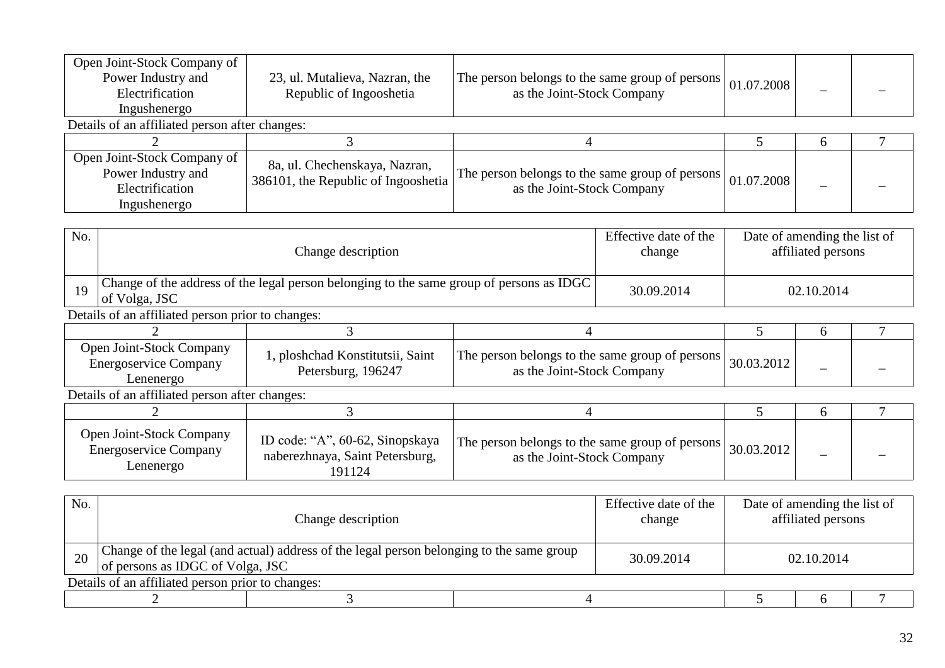| Open Joint-Stock Company of<br>Power Industry and<br>Electrification<br>Ingushenergo | 23, ul. Mutalieva, Nazran, the<br>Republic of Ingooshetia            | The person belongs to the same group of persons<br>as the Joint-Stock Company | 01.07.2008 |              |  |  |  |  |  |
|--------------------------------------------------------------------------------------|----------------------------------------------------------------------|-------------------------------------------------------------------------------|------------|--------------|--|--|--|--|--|
| Details of an affiliated person after changes:                                       |                                                                      |                                                                               |            |              |  |  |  |  |  |
|                                                                                      |                                                                      |                                                                               |            | <sub>0</sub> |  |  |  |  |  |
| Open Joint-Stock Company of<br>Power Industry and<br>Electrification<br>Ingushenergo | 8a, ul. Chechenskaya, Nazran,<br>386101, the Republic of Ingooshetia | The person belongs to the same group of persons<br>as the Joint-Stock Company | 01.07.2008 |              |  |  |  |  |  |

| No. |                                                                                                           | Change description                                                           |                                                                               |  |            | Date of amending the list of<br>affiliated persons |  |  |  |
|-----|-----------------------------------------------------------------------------------------------------------|------------------------------------------------------------------------------|-------------------------------------------------------------------------------|--|------------|----------------------------------------------------|--|--|--|
| 19  | Change of the address of the legal person belonging to the same group of persons as IDGC<br>of Volga, JSC | 30.09.2014                                                                   | 02.10.2014                                                                    |  |            |                                                    |  |  |  |
|     | Details of an affiliated person prior to changes:                                                         |                                                                              |                                                                               |  |            |                                                    |  |  |  |
|     |                                                                                                           |                                                                              |                                                                               |  | 6          |                                                    |  |  |  |
|     | Open Joint-Stock Company<br><b>Energoservice Company</b><br>Lenenergo                                     | 1, ploshchad Konstitutsii, Saint<br>Petersburg, 196247                       | The person belongs to the same group of persons<br>as the Joint-Stock Company |  | 30.03.2012 |                                                    |  |  |  |
|     | Details of an affiliated person after changes:                                                            |                                                                              |                                                                               |  |            |                                                    |  |  |  |
|     |                                                                                                           |                                                                              |                                                                               |  | 5          | $\sigma$                                           |  |  |  |
|     | Open Joint-Stock Company<br><b>Energoservice Company</b><br>Lenenergo                                     | ID code: "A", 60-62, Sinopskaya<br>naberezhnaya, Saint Petersburg,<br>191124 | The person belongs to the same group of persons<br>as the Joint-Stock Company |  | 30.03.2012 |                                                    |  |  |  |

| No. | Change description                                |                                                                                                                              |  | Effective date of the<br>change | Date of amending the list of<br>affiliated persons |  |  |  |  |  |
|-----|---------------------------------------------------|------------------------------------------------------------------------------------------------------------------------------|--|---------------------------------|----------------------------------------------------|--|--|--|--|--|
| 20  |                                                   | Change of the legal (and actual) address of the legal person belonging to the same group<br>of persons as IDGC of Volga, JSC |  |                                 | 02.10.2014                                         |  |  |  |  |  |
|     | Details of an affiliated person prior to changes: |                                                                                                                              |  |                                 |                                                    |  |  |  |  |  |
|     |                                                   |                                                                                                                              |  |                                 |                                                    |  |  |  |  |  |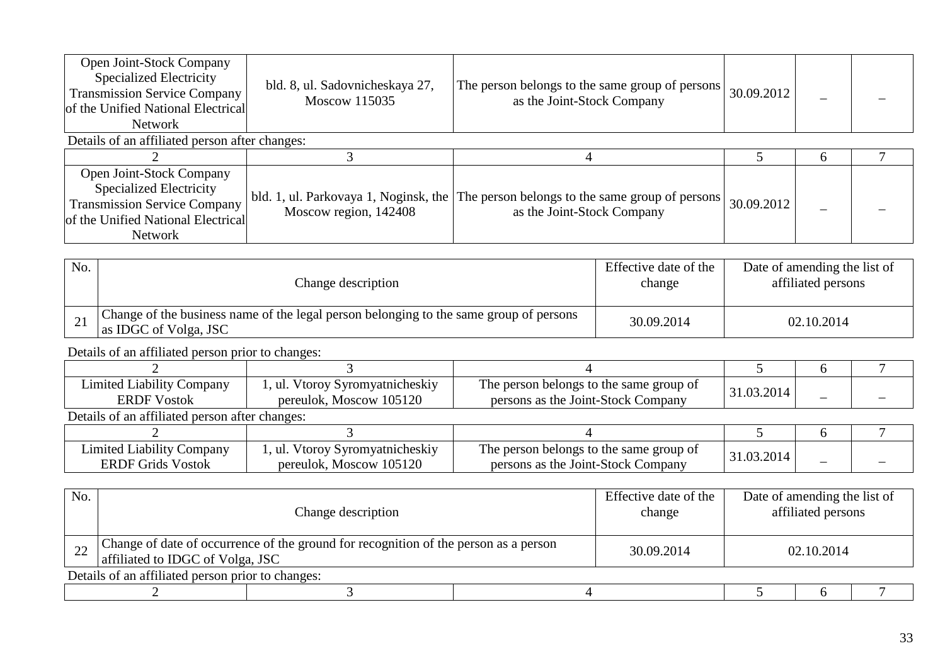| Open Joint-Stock Company<br><b>Specialized Electricity</b><br><b>Transmission Service Company</b><br>of the Unified National Electrical<br><b>Network</b> | bld. 8, ul. Sadovnicheskaya 27,<br>Moscow 115035               | The person belongs to the same group of persons<br>as the Joint-Stock Company | 30.09.2012 |  |  |  |  |  |  |
|-----------------------------------------------------------------------------------------------------------------------------------------------------------|----------------------------------------------------------------|-------------------------------------------------------------------------------|------------|--|--|--|--|--|--|
| Details of an affiliated person after changes:                                                                                                            |                                                                |                                                                               |            |  |  |  |  |  |  |
|                                                                                                                                                           |                                                                |                                                                               |            |  |  |  |  |  |  |
| Open Joint-Stock Company<br><b>Specialized Electricity</b><br><b>Transmission Service Company</b><br>of the Unified National Electrical<br><b>Network</b> | bld. 1, ul. Parkovaya 1, Noginsk, the<br>Moscow region, 142408 | The person belongs to the same group of persons<br>as the Joint-Stock Company | 30.09.2012 |  |  |  |  |  |  |

| No.             | Change description                                                                                              | Effective date of the<br>change | Date of amending the list of<br>affiliated persons |
|-----------------|-----------------------------------------------------------------------------------------------------------------|---------------------------------|----------------------------------------------------|
| $\overline{21}$ | Change of the business name of the legal person belonging to the same group of persons<br>as IDGC of Volga, JSC | 30.09.2014                      | 02.10.2014                                         |

Details of an affiliated person prior to changes:

| <b>Limited Liability Company</b><br><b>ERDF</b> Vostok       | 1, ul. Vtoroy Syromyatnicheskiy<br>pereulok, Moscow 105120 | The person belongs to the same group of<br>persons as the Joint-Stock Company | 31.03.2014 |  |  |  |  |  |  |
|--------------------------------------------------------------|------------------------------------------------------------|-------------------------------------------------------------------------------|------------|--|--|--|--|--|--|
|                                                              | Details of an affiliated person after changes:             |                                                                               |            |  |  |  |  |  |  |
|                                                              |                                                            |                                                                               |            |  |  |  |  |  |  |
| <b>Limited Liability Company</b><br><b>ERDF Grids Vostok</b> | 1, ul. Vtoroy Syromyatnicheskiy<br>pereulok, Moscow 105120 | The person belongs to the same group of<br>persons as the Joint-Stock Company | 31.03.2014 |  |  |  |  |  |  |

| No. | Change description                                                                                                       |  |  | Effective date of the<br>change | Date of amending the list of<br>affiliated persons |  |  |  |  |
|-----|--------------------------------------------------------------------------------------------------------------------------|--|--|---------------------------------|----------------------------------------------------|--|--|--|--|
|     | Change of date of occurrence of the ground for recognition of the person as a person<br>affiliated to IDGC of Volga, JSC |  |  | 30.09.2014                      | 02.10.2014                                         |  |  |  |  |
|     | Details of an affiliated person prior to changes:                                                                        |  |  |                                 |                                                    |  |  |  |  |
|     |                                                                                                                          |  |  |                                 |                                                    |  |  |  |  |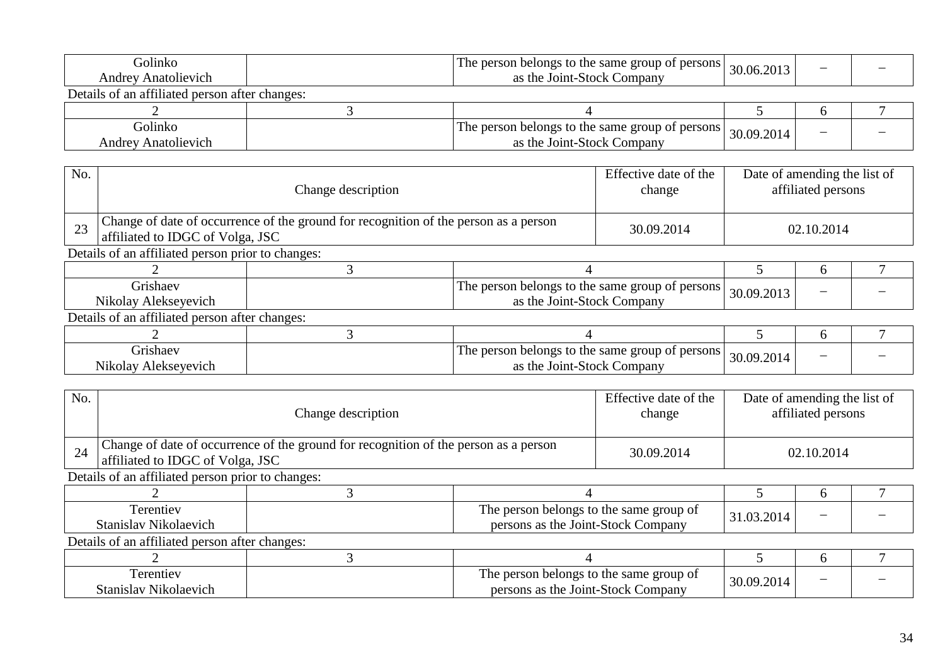| Golinko<br><b>Andrey Anatolievich</b>          | The person belongs to the same group of persons  <br>30.06.2013<br>as the Joint-Stock Company |                                                                               |            |  |  |  |  |  |
|------------------------------------------------|-----------------------------------------------------------------------------------------------|-------------------------------------------------------------------------------|------------|--|--|--|--|--|
| Details of an affiliated person after changes: |                                                                                               |                                                                               |            |  |  |  |  |  |
|                                                |                                                                                               |                                                                               |            |  |  |  |  |  |
| Golinko<br><b>Andrey Anatolievich</b>          |                                                                                               | The person belongs to the same group of persons<br>as the Joint-Stock Company | 30.09.2014 |  |  |  |  |  |

| No. | Change description                                |                                                                                                                          |                                                                               | Effective date of the<br>change |            | Date of amending the list of<br>affiliated persons |  |  |  |
|-----|---------------------------------------------------|--------------------------------------------------------------------------------------------------------------------------|-------------------------------------------------------------------------------|---------------------------------|------------|----------------------------------------------------|--|--|--|
| 23  |                                                   | Change of date of occurrence of the ground for recognition of the person as a person<br>affiliated to IDGC of Volga, JSC |                                                                               |                                 |            | 02.10.2014                                         |  |  |  |
|     | Details of an affiliated person prior to changes: |                                                                                                                          |                                                                               |                                 |            |                                                    |  |  |  |
|     |                                                   |                                                                                                                          |                                                                               |                                 |            | h                                                  |  |  |  |
|     | Grishaev<br>Nikolay Alekseyevich                  |                                                                                                                          | The person belongs to the same group of persons<br>as the Joint-Stock Company |                                 | 30.09.2013 |                                                    |  |  |  |
|     | Details of an affiliated person after changes:    |                                                                                                                          |                                                                               |                                 |            |                                                    |  |  |  |
|     |                                                   |                                                                                                                          |                                                                               |                                 |            | $\mathbf{a}$                                       |  |  |  |
|     | Grishaev<br>Nikolay Alekseyevich                  |                                                                                                                          | The person belongs to the same group of persons<br>as the Joint-Stock Company |                                 | 30.09.2014 |                                                    |  |  |  |

| No. |                                                   | Change description                                                                                                       |                                                                               |  |            | Date of amending the list of<br>affiliated persons |  |  |  |
|-----|---------------------------------------------------|--------------------------------------------------------------------------------------------------------------------------|-------------------------------------------------------------------------------|--|------------|----------------------------------------------------|--|--|--|
| 24  |                                                   | Change of date of occurrence of the ground for recognition of the person as a person<br>affiliated to IDGC of Volga, JSC |                                                                               |  |            | 02.10.2014                                         |  |  |  |
|     | Details of an affiliated person prior to changes: |                                                                                                                          |                                                                               |  |            |                                                    |  |  |  |
|     |                                                   |                                                                                                                          |                                                                               |  |            | h                                                  |  |  |  |
|     | Terentiev<br>Stanislav Nikolaevich                |                                                                                                                          | The person belongs to the same group of<br>persons as the Joint-Stock Company |  | 31.03.2014 |                                                    |  |  |  |
|     | Details of an affiliated person after changes:    |                                                                                                                          |                                                                               |  |            |                                                    |  |  |  |
|     |                                                   |                                                                                                                          |                                                                               |  |            | <sub>0</sub>                                       |  |  |  |
|     | Terentiev<br>Stanislav Nikolaevich                |                                                                                                                          | The person belongs to the same group of<br>persons as the Joint-Stock Company |  | 30.09.2014 |                                                    |  |  |  |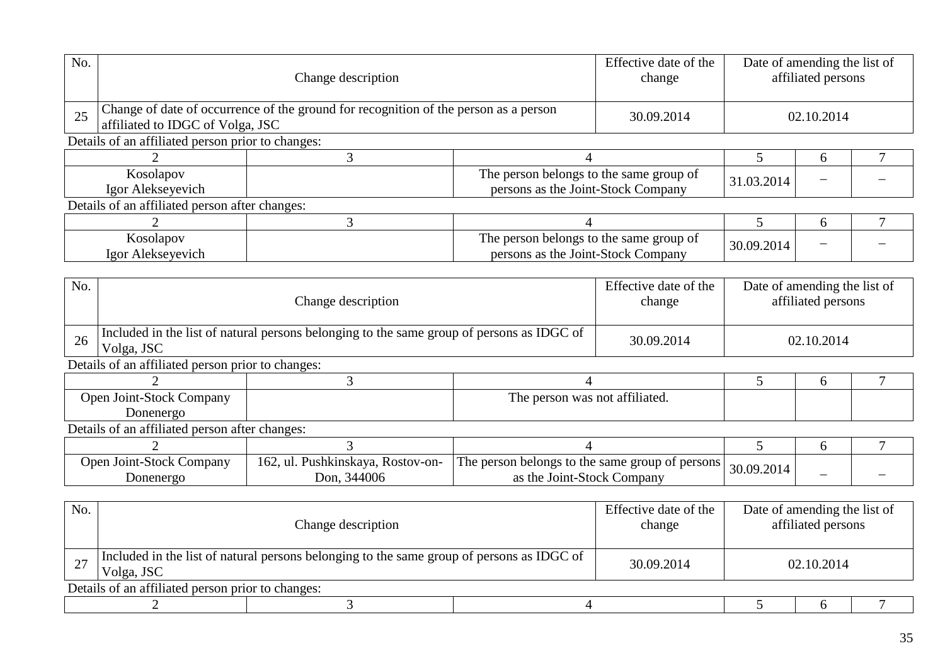| No. |                                                                                                         | Change description<br>Change of date of occurrence of the ground for recognition of the person as a person |                                                                               |                                 | Date of amending the list of<br>affiliated persons |   |   |  |  |
|-----|---------------------------------------------------------------------------------------------------------|------------------------------------------------------------------------------------------------------------|-------------------------------------------------------------------------------|---------------------------------|----------------------------------------------------|---|---|--|--|
| 25  | affiliated to IDGC of Volga, JSC                                                                        |                                                                                                            |                                                                               | 30.09.2014                      | 02.10.2014                                         |   |   |  |  |
|     | Details of an affiliated person prior to changes:                                                       |                                                                                                            |                                                                               |                                 |                                                    |   |   |  |  |
|     |                                                                                                         | 3                                                                                                          | 4                                                                             |                                 | 5                                                  | 6 |   |  |  |
|     | Kosolapov                                                                                               |                                                                                                            | The person belongs to the same group of                                       |                                 | 31.03.2014                                         |   |   |  |  |
|     | Igor Alekseyevich                                                                                       |                                                                                                            | persons as the Joint-Stock Company                                            |                                 |                                                    |   |   |  |  |
|     | Details of an affiliated person after changes:                                                          |                                                                                                            |                                                                               |                                 |                                                    |   |   |  |  |
|     | $\mathcal{D}$                                                                                           | 3                                                                                                          | 4                                                                             |                                 | 5                                                  | 6 | 7 |  |  |
|     | Kosolapov<br>Igor Alekseyevich                                                                          |                                                                                                            | The person belongs to the same group of<br>persons as the Joint-Stock Company |                                 | 30.09.2014                                         |   |   |  |  |
|     |                                                                                                         |                                                                                                            |                                                                               |                                 |                                                    |   |   |  |  |
| No. | Change description                                                                                      |                                                                                                            |                                                                               | Effective date of the<br>change | Date of amending the list of<br>affiliated persons |   |   |  |  |
| 26  | Included in the list of natural persons belonging to the same group of persons as IDGC of<br>Volga, JSC |                                                                                                            |                                                                               |                                 | 02.10.2014                                         |   |   |  |  |
|     | Details of an affiliated person prior to changes:                                                       |                                                                                                            |                                                                               |                                 |                                                    |   |   |  |  |
|     |                                                                                                         | 3                                                                                                          | $\overline{4}$                                                                |                                 | 5                                                  | 6 |   |  |  |
|     | Open Joint-Stock Company<br>Donenergo                                                                   |                                                                                                            | The person was not affiliated.                                                |                                 |                                                    |   |   |  |  |
|     | Details of an affiliated person after changes:                                                          |                                                                                                            |                                                                               |                                 |                                                    |   |   |  |  |
|     | $\overline{2}$                                                                                          | 3                                                                                                          | 4                                                                             |                                 | 5                                                  | 6 | 7 |  |  |
|     | Open Joint-Stock Company<br>Donenergo                                                                   | 162, ul. Pushkinskaya, Rostov-on-<br>Don, 344006                                                           | The person belongs to the same group of persons<br>as the Joint-Stock Company |                                 | 30.09.2014                                         |   |   |  |  |
|     |                                                                                                         |                                                                                                            |                                                                               |                                 |                                                    |   |   |  |  |
| No. | Change description                                                                                      |                                                                                                            |                                                                               | Effective date of the<br>change | Date of amending the list of<br>affiliated persons |   |   |  |  |
| 27  | Included in the list of natural persons belonging to the same group of persons as IDGC of<br>Volga, JSC |                                                                                                            |                                                                               | 30.09.2014                      | 02.10.2014                                         |   |   |  |  |
|     | Details of an affiliated person prior to changes:                                                       |                                                                                                            |                                                                               |                                 |                                                    |   |   |  |  |
|     | $\overline{2}$                                                                                          | 3                                                                                                          | $\overline{4}$                                                                |                                 | 5                                                  | 6 | 7 |  |  |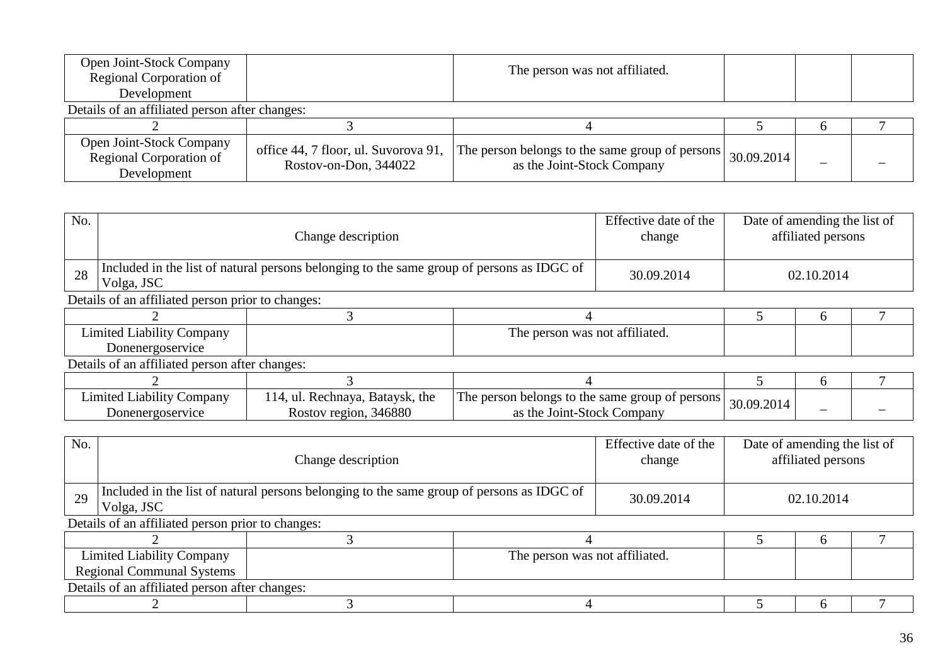| <b>Open Joint-Stock Company</b><br>Regional Corporation of                | The person was not affiliated.                                |                                                                               |            |  |
|---------------------------------------------------------------------------|---------------------------------------------------------------|-------------------------------------------------------------------------------|------------|--|
| Development                                                               |                                                               |                                                                               |            |  |
| Details of an affiliated person after changes:                            |                                                               |                                                                               |            |  |
|                                                                           |                                                               |                                                                               |            |  |
| <b>Open Joint-Stock Company</b><br>Regional Corporation of<br>Development | office 44, 7 floor, ul. Suvorova 91,<br>Rostov-on-Don, 344022 | The person belongs to the same group of persons<br>as the Joint-Stock Company | 30.09.2014 |  |

| No. | Change description                                                                                      |                                                          |                                                                               | Effective date of the<br>change | Date of amending the list of | affiliated persons |  |  |
|-----|---------------------------------------------------------------------------------------------------------|----------------------------------------------------------|-------------------------------------------------------------------------------|---------------------------------|------------------------------|--------------------|--|--|
| 28  | Included in the list of natural persons belonging to the same group of persons as IDGC of<br>Volga, JSC |                                                          |                                                                               | 30.09.2014                      |                              | 02.10.2014         |  |  |
|     | Details of an affiliated person prior to changes:                                                       |                                                          |                                                                               |                                 |                              |                    |  |  |
|     |                                                                                                         |                                                          |                                                                               |                                 |                              | 6                  |  |  |
|     | <b>Limited Liability Company</b>                                                                        |                                                          | The person was not affiliated.                                                |                                 |                              |                    |  |  |
|     | Donenergoservice                                                                                        |                                                          |                                                                               |                                 |                              |                    |  |  |
|     | Details of an affiliated person after changes:                                                          |                                                          |                                                                               |                                 |                              |                    |  |  |
|     |                                                                                                         |                                                          |                                                                               |                                 |                              | <sub>0</sub>       |  |  |
|     | <b>Limited Liability Company</b><br>Donenergoservice                                                    | 114, ul. Rechnaya, Bataysk, the<br>Rostov region, 346880 | The person belongs to the same group of persons<br>as the Joint-Stock Company |                                 | 30.09.2014                   |                    |  |  |

| No.                              |                                                                                                         | Change description |                                |            | Effective date of the<br>Date of amending the list of<br>affiliated persons |  |  |  |  |
|----------------------------------|---------------------------------------------------------------------------------------------------------|--------------------|--------------------------------|------------|-----------------------------------------------------------------------------|--|--|--|--|
| 29                               | Included in the list of natural persons belonging to the same group of persons as IDGC of<br>Volga, JSC |                    |                                | 30.09.2014 | 02.10.2014                                                                  |  |  |  |  |
|                                  | Details of an affiliated person prior to changes:                                                       |                    |                                |            |                                                                             |  |  |  |  |
|                                  |                                                                                                         |                    |                                |            |                                                                             |  |  |  |  |
|                                  | <b>Limited Liability Company</b>                                                                        |                    | The person was not affiliated. |            |                                                                             |  |  |  |  |
| <b>Regional Communal Systems</b> |                                                                                                         |                    |                                |            |                                                                             |  |  |  |  |
|                                  | Details of an affiliated person after changes:                                                          |                    |                                |            |                                                                             |  |  |  |  |
|                                  |                                                                                                         |                    |                                |            |                                                                             |  |  |  |  |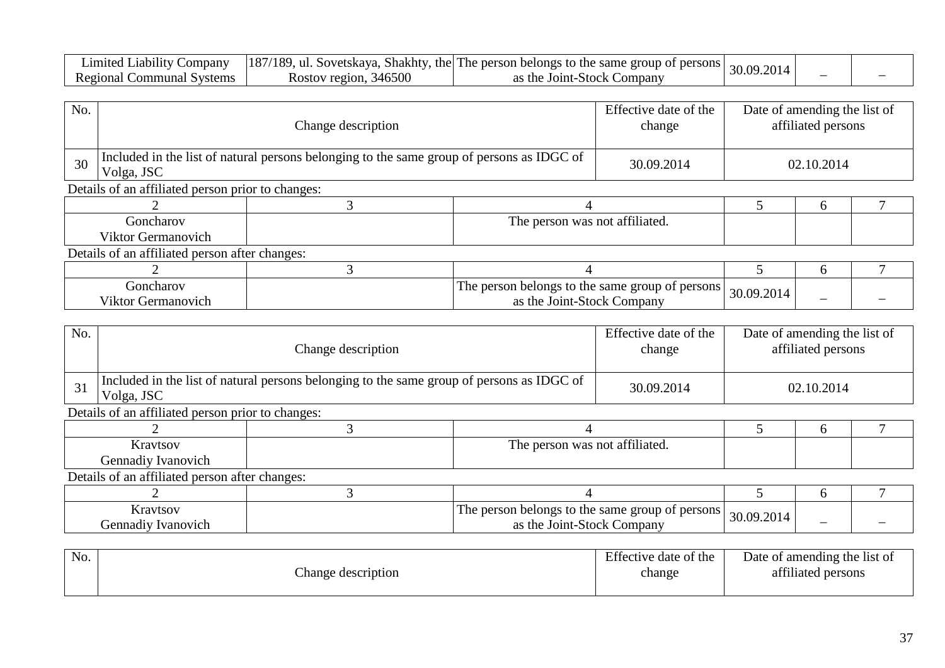| _1m1ted_<br>Company<br>$\text{\Leftrightarrow}$ $\blacksquare$ $\blacksquare$ | [187/189, ul. Sovetskaya, Shakhty, | $\gamma$ , the The person belongs to the same group of persons | 2014 |                          |  |
|-------------------------------------------------------------------------------|------------------------------------|----------------------------------------------------------------|------|--------------------------|--|
| Regional<br>. :ommunal :<br>Systems                                           | 346500<br>Rostov region.           | Joint-Stock <b>'</b><br>Companv<br>as the                      |      | $\overline{\phantom{a}}$ |  |

| No. |                                                   | Change description                                                                        |                                |  |  | Date of amending the list of<br>affiliated persons |  |  |  |
|-----|---------------------------------------------------|-------------------------------------------------------------------------------------------|--------------------------------|--|--|----------------------------------------------------|--|--|--|
| 30  | Volga, JSC                                        | Included in the list of natural persons belonging to the same group of persons as IDGC of |                                |  |  | 02.10.2014                                         |  |  |  |
|     | Details of an affiliated person prior to changes: |                                                                                           |                                |  |  |                                                    |  |  |  |
|     |                                                   |                                                                                           |                                |  |  | h                                                  |  |  |  |
|     | Goncharov                                         |                                                                                           | The person was not affiliated. |  |  |                                                    |  |  |  |
|     | Viktor Germanovich                                |                                                                                           |                                |  |  |                                                    |  |  |  |
|     | Details of an affiliated person after changes:    |                                                                                           |                                |  |  |                                                    |  |  |  |
|     |                                                   |                                                                                           |                                |  |  | h                                                  |  |  |  |
|     |                                                   |                                                                                           |                                |  |  |                                                    |  |  |  |

| .onch<br>:harov<br>$- \cdot -$<br>anovich | 1 he<br>$\sim$<br>ersons<br>'ongs<br>same<br>group<br>$\cdots$<br>ా $\alpha$ the $\beta$ .<br>Stock<br>Company<br>-the<br>ഹ<br>JOINT | 30.0<br>ററ<br>ΩC | $\overline{\phantom{0}}$ |  |
|-------------------------------------------|--------------------------------------------------------------------------------------------------------------------------------------|------------------|--------------------------|--|
| IKUJ<br>1.1                               | $\mathbf{a}$                                                                                                                         |                  |                          |  |

| No. | Change description                                                                                      |  |                                                                               | Effective date of the<br>change | Date of amending the list of | affiliated persons |  |  |
|-----|---------------------------------------------------------------------------------------------------------|--|-------------------------------------------------------------------------------|---------------------------------|------------------------------|--------------------|--|--|
| 31  | Included in the list of natural persons belonging to the same group of persons as IDGC of<br>Volga, JSC |  |                                                                               | 30.09.2014                      | 02.10.2014                   |                    |  |  |
|     | Details of an affiliated person prior to changes:                                                       |  |                                                                               |                                 |                              |                    |  |  |
|     |                                                                                                         |  |                                                                               |                                 |                              | <sub>b</sub>       |  |  |
|     | Kravtsov                                                                                                |  | The person was not affiliated.                                                |                                 |                              |                    |  |  |
|     | Gennadiy Ivanovich                                                                                      |  |                                                                               |                                 |                              |                    |  |  |
|     | Details of an affiliated person after changes:                                                          |  |                                                                               |                                 |                              |                    |  |  |
|     |                                                                                                         |  |                                                                               |                                 | 6                            |                    |  |  |
|     | Kravtsov<br>Gennadiy Ivanovich                                                                          |  | The person belongs to the same group of persons<br>as the Joint-Stock Company |                                 | 30.09.2014                   |                    |  |  |

| No. |                   | Effective date of the | Date of amending the list of |
|-----|-------------------|-----------------------|------------------------------|
|     | hange description | change                | 0.011<br>attiliated persons  |
|     |                   |                       |                              |

 $\mathsf{r}$